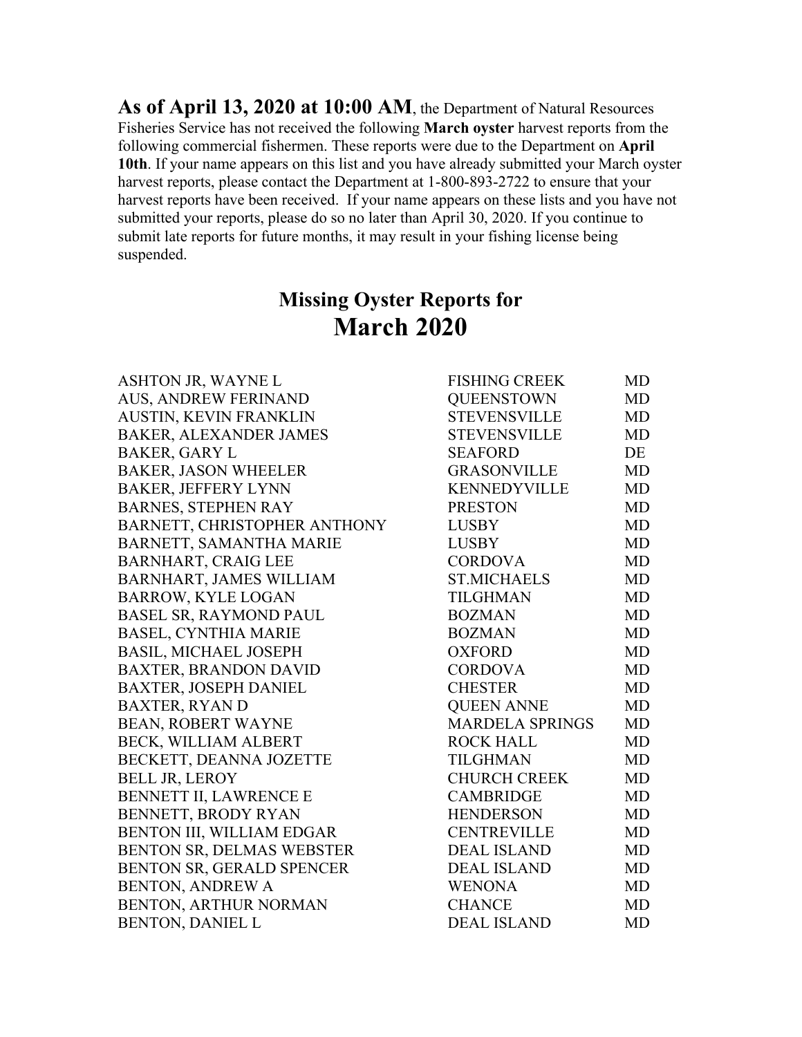**As of April 13, 2020 at 10:00 AM**, the Department of Natural Resources Fisheries Service has not received the following **March oyster** harvest reports from the following commercial fishermen. These reports were due to the Department on **April 10th**. If your name appears on this list and you have already submitted your March oyster harvest reports, please contact the Department at 1-800-893-2722 to ensure that your harvest reports have been received. If your name appears on these lists and you have not submitted your reports, please do so no later than April 30, 2020. If you continue to submit late reports for future months, it may result in your fishing license being suspended.

## **Missing Oyster Reports for March 2020**

| ASHTON JR, WAYNE L             | <b>FISHING CREEK</b>   | MD        |
|--------------------------------|------------------------|-----------|
| <b>AUS, ANDREW FERINAND</b>    | <b>QUEENSTOWN</b>      | <b>MD</b> |
| AUSTIN, KEVIN FRANKLIN         | <b>STEVENSVILLE</b>    | <b>MD</b> |
| <b>BAKER, ALEXANDER JAMES</b>  | <b>STEVENSVILLE</b>    | MD        |
| <b>BAKER, GARY L</b>           | <b>SEAFORD</b>         | DE        |
| <b>BAKER, JASON WHEELER</b>    | <b>GRASONVILLE</b>     | <b>MD</b> |
| <b>BAKER, JEFFERY LYNN</b>     | <b>KENNEDYVILLE</b>    | MD        |
| <b>BARNES, STEPHEN RAY</b>     | <b>PRESTON</b>         | MD        |
| BARNETT, CHRISTOPHER ANTHONY   | <b>LUSBY</b>           | <b>MD</b> |
| BARNETT, SAMANTHA MARIE        | <b>LUSBY</b>           | <b>MD</b> |
| <b>BARNHART, CRAIG LEE</b>     | <b>CORDOVA</b>         | MD        |
| <b>BARNHART, JAMES WILLIAM</b> | <b>ST.MICHAELS</b>     | MD        |
| <b>BARROW, KYLE LOGAN</b>      | <b>TILGHMAN</b>        | <b>MD</b> |
| <b>BASEL SR, RAYMOND PAUL</b>  | <b>BOZMAN</b>          | MD        |
| <b>BASEL, CYNTHIA MARIE</b>    | <b>BOZMAN</b>          | <b>MD</b> |
| <b>BASIL, MICHAEL JOSEPH</b>   | <b>OXFORD</b>          | <b>MD</b> |
| <b>BAXTER, BRANDON DAVID</b>   | <b>CORDOVA</b>         | <b>MD</b> |
| <b>BAXTER, JOSEPH DANIEL</b>   | <b>CHESTER</b>         | <b>MD</b> |
| <b>BAXTER, RYAN D</b>          | <b>QUEEN ANNE</b>      | MD        |
| <b>BEAN, ROBERT WAYNE</b>      | <b>MARDELA SPRINGS</b> | MD        |
| <b>BECK, WILLIAM ALBERT</b>    | <b>ROCK HALL</b>       | MD        |
| BECKETT, DEANNA JOZETTE        | <b>TILGHMAN</b>        | <b>MD</b> |
| <b>BELL JR, LEROY</b>          | <b>CHURCH CREEK</b>    | <b>MD</b> |
| <b>BENNETT II, LAWRENCE E</b>  | <b>CAMBRIDGE</b>       | <b>MD</b> |
| BENNETT, BRODY RYAN            | <b>HENDERSON</b>       | <b>MD</b> |
| BENTON III, WILLIAM EDGAR      | <b>CENTREVILLE</b>     | <b>MD</b> |
| BENTON SR, DELMAS WEBSTER      | <b>DEAL ISLAND</b>     | <b>MD</b> |
| BENTON SR, GERALD SPENCER      | <b>DEAL ISLAND</b>     | <b>MD</b> |
| <b>BENTON, ANDREW A</b>        | <b>WENONA</b>          | <b>MD</b> |
| BENTON, ARTHUR NORMAN          | <b>CHANCE</b>          | MD        |
| <b>BENTON, DANIEL L</b>        | <b>DEAL ISLAND</b>     | <b>MD</b> |
|                                |                        |           |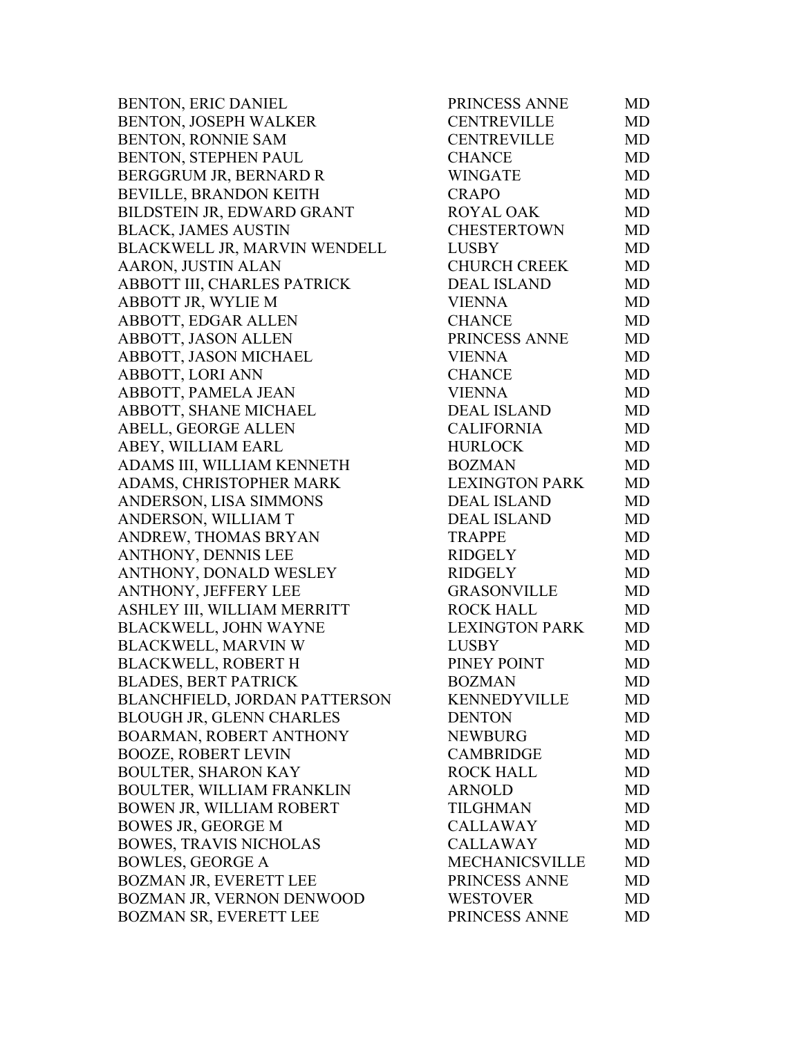BENTON, ERIC DANIEL PRINCESS ANNE MD BENTON, JOSEPH WALKER BENTON, RONNIE SAM BENTON, STEPHEN PAUL BERGGRUM JR, BERNARD R BEVILLE, BRANDON KEITH BILDSTEIN JR, EDWARD GRANT BLACK, JAMES AUSTIN BLACKWELL JR, MARVIN WENDELL AARON, JUSTIN ALAN ABBOTT III, CHARLES PATRICK ABBOTT JR, WYLIE M ABBOTT, EDGAR ALLEN ABBOTT, JASON ALLEN ABBOTT, JASON MICHAEL ABBOTT, LORI ANN ABBOTT, PAMELA JEAN ABBOTT, SHANE MICHAEL ABELL, GEORGE ALLEN ABEY, WILLIAM EARL ADAMS III, WILLIAM KENNETH ADAMS, CHRISTOPHER MARK ANDERSON, LISA SIMMONS ANDERSON, WILLIAM T ANDREW, THOMAS BRYAN ANTHONY, DENNIS LEE ANTHONY, DONALD WESLEY ANTHONY, JEFFERY LEE ASHLEY III, WILLIAM MERRITT BLACKWELL, JOHN WAYNE BLACKWELL, MARVIN W BLACKWELL, ROBERT H BLADES, BERT PATRICK BLANCHFIELD, JORDAN PATTERSON BLOUGH JR, GLENN CHARLES BOARMAN, ROBERT ANTHONY BOOZE, ROBERT LEVIN BOULTER, SHARON KAY BOULTER, WILLIAM FRANKLIN BOWEN JR, WILLIAM ROBERT BOWES JR, GEORGE M BOWES, TRAVIS NICHOLAS BOWLES, GEORGE A BOZMAN JR, EVERETT LEE BOZMAN JR, VERNON DENWOOD BOZMAN SR, EVERETT LEE

| <b>CENTREVILLE</b><br><b>MD</b><br><b>CENTREVILLE</b><br><b>MD</b><br><b>CHANCE</b><br><b>MD</b><br><b>WINGATE</b><br><b>MD</b><br><b>CRAPO</b><br><b>MD</b><br><b>ROYAL OAK</b><br><b>MD</b><br><b>CHESTERTOWN</b><br><b>MD</b><br><b>LUSBY</b><br><b>MD</b><br><b>CHURCH CREEK</b><br><b>MD</b><br><b>DEAL ISLAND</b><br><b>MD</b><br><b>MD</b><br><b>VIENNA</b><br><b>CHANCE</b><br>MD<br>PRINCESS ANNE<br><b>MD</b><br><b>VIENNA</b><br><b>MD</b><br><b>CHANCE</b><br><b>MD</b> |  |
|-------------------------------------------------------------------------------------------------------------------------------------------------------------------------------------------------------------------------------------------------------------------------------------------------------------------------------------------------------------------------------------------------------------------------------------------------------------------------------------|--|
|                                                                                                                                                                                                                                                                                                                                                                                                                                                                                     |  |
|                                                                                                                                                                                                                                                                                                                                                                                                                                                                                     |  |
|                                                                                                                                                                                                                                                                                                                                                                                                                                                                                     |  |
|                                                                                                                                                                                                                                                                                                                                                                                                                                                                                     |  |
|                                                                                                                                                                                                                                                                                                                                                                                                                                                                                     |  |
|                                                                                                                                                                                                                                                                                                                                                                                                                                                                                     |  |
|                                                                                                                                                                                                                                                                                                                                                                                                                                                                                     |  |
|                                                                                                                                                                                                                                                                                                                                                                                                                                                                                     |  |
|                                                                                                                                                                                                                                                                                                                                                                                                                                                                                     |  |
|                                                                                                                                                                                                                                                                                                                                                                                                                                                                                     |  |
|                                                                                                                                                                                                                                                                                                                                                                                                                                                                                     |  |
|                                                                                                                                                                                                                                                                                                                                                                                                                                                                                     |  |
|                                                                                                                                                                                                                                                                                                                                                                                                                                                                                     |  |
|                                                                                                                                                                                                                                                                                                                                                                                                                                                                                     |  |
|                                                                                                                                                                                                                                                                                                                                                                                                                                                                                     |  |
| <b>VIENNA</b><br><b>MD</b>                                                                                                                                                                                                                                                                                                                                                                                                                                                          |  |
| <b>DEAL ISLAND</b><br>MD                                                                                                                                                                                                                                                                                                                                                                                                                                                            |  |
| <b>CALIFORNIA</b><br><b>MD</b>                                                                                                                                                                                                                                                                                                                                                                                                                                                      |  |
| <b>HURLOCK</b><br><b>MD</b>                                                                                                                                                                                                                                                                                                                                                                                                                                                         |  |
| <b>BOZMAN</b><br><b>MD</b>                                                                                                                                                                                                                                                                                                                                                                                                                                                          |  |
| <b>LEXINGTON PARK</b><br><b>MD</b>                                                                                                                                                                                                                                                                                                                                                                                                                                                  |  |
| <b>DEAL ISLAND</b><br><b>MD</b>                                                                                                                                                                                                                                                                                                                                                                                                                                                     |  |
| <b>DEAL ISLAND</b><br><b>MD</b>                                                                                                                                                                                                                                                                                                                                                                                                                                                     |  |
| <b>TRAPPE</b><br><b>MD</b>                                                                                                                                                                                                                                                                                                                                                                                                                                                          |  |
| <b>RIDGELY</b><br><b>MD</b>                                                                                                                                                                                                                                                                                                                                                                                                                                                         |  |
| <b>RIDGELY</b><br><b>MD</b>                                                                                                                                                                                                                                                                                                                                                                                                                                                         |  |
| <b>GRASONVILLE</b><br><b>MD</b>                                                                                                                                                                                                                                                                                                                                                                                                                                                     |  |
| <b>ROCK HALL</b><br><b>MD</b>                                                                                                                                                                                                                                                                                                                                                                                                                                                       |  |
| <b>LEXINGTON PARK</b><br><b>MD</b>                                                                                                                                                                                                                                                                                                                                                                                                                                                  |  |
| <b>LUSBY</b><br>MD                                                                                                                                                                                                                                                                                                                                                                                                                                                                  |  |
| PINEY POINT<br>MD                                                                                                                                                                                                                                                                                                                                                                                                                                                                   |  |
| <b>BOZMAN</b><br>MD                                                                                                                                                                                                                                                                                                                                                                                                                                                                 |  |
| <b>KENNEDYVILLE</b><br>MD                                                                                                                                                                                                                                                                                                                                                                                                                                                           |  |
|                                                                                                                                                                                                                                                                                                                                                                                                                                                                                     |  |
| <b>DENTON</b><br><b>MD</b>                                                                                                                                                                                                                                                                                                                                                                                                                                                          |  |
| <b>NEWBURG</b><br><b>MD</b>                                                                                                                                                                                                                                                                                                                                                                                                                                                         |  |
| <b>CAMBRIDGE</b><br><b>MD</b>                                                                                                                                                                                                                                                                                                                                                                                                                                                       |  |
| <b>ROCK HALL</b><br>MD                                                                                                                                                                                                                                                                                                                                                                                                                                                              |  |
| <b>MD</b><br><b>ARNOLD</b>                                                                                                                                                                                                                                                                                                                                                                                                                                                          |  |
| <b>TILGHMAN</b><br><b>MD</b>                                                                                                                                                                                                                                                                                                                                                                                                                                                        |  |
| <b>CALLAWAY</b><br><b>MD</b>                                                                                                                                                                                                                                                                                                                                                                                                                                                        |  |
| <b>CALLAWAY</b><br><b>MD</b>                                                                                                                                                                                                                                                                                                                                                                                                                                                        |  |
| <b>MECHANICSVILLE</b><br><b>MD</b>                                                                                                                                                                                                                                                                                                                                                                                                                                                  |  |
| PRINCESS ANNE<br><b>MD</b>                                                                                                                                                                                                                                                                                                                                                                                                                                                          |  |
| <b>WESTOVER</b><br><b>MD</b><br>PRINCESS ANNE                                                                                                                                                                                                                                                                                                                                                                                                                                       |  |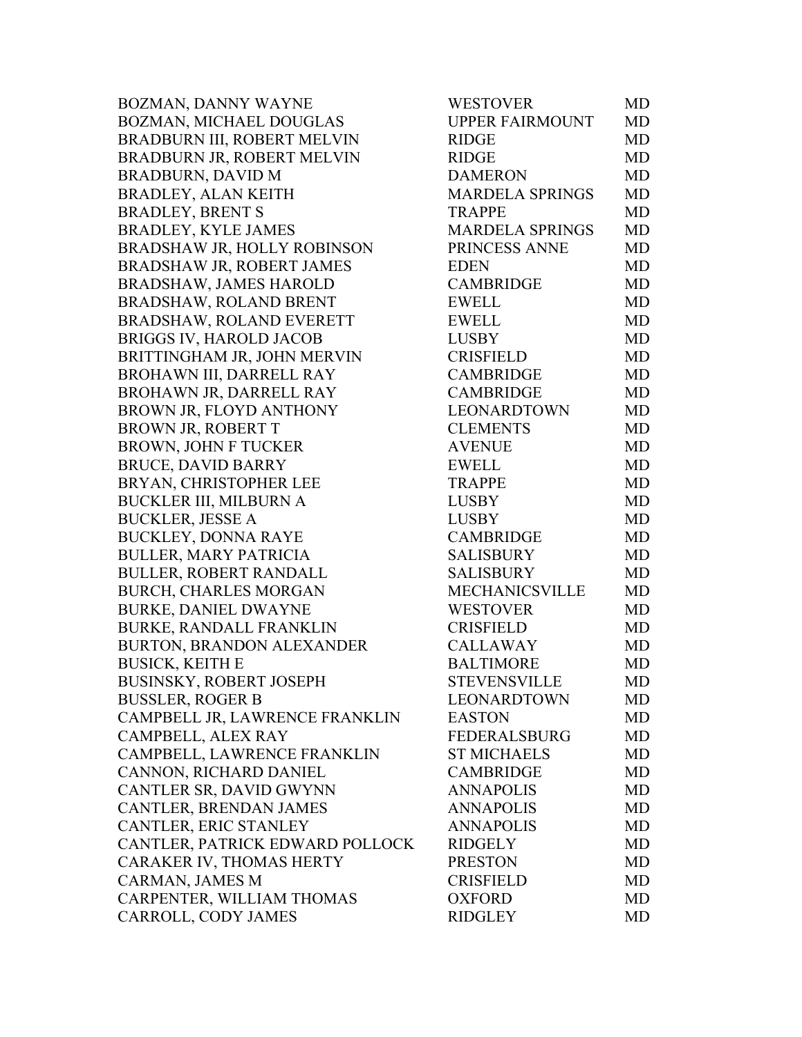BOZMAN, DANNY WAYNE BOZMAN, MICHAEL DOUGLAS BRADBURN III, ROBERT MELVIN BRADBURN JR, ROBERT MELVIN BRADBURN, DAVID M BRADLEY, ALAN KEITH BRADLEY, BRENT S BRADLEY, KYLE JAMES BRADSHAW JR, HOLLY ROBINSON BRADSHAW JR, ROBERT JAMES BRADSHAW, JAMES HAROLD BRADSHAW, ROLAND BRENT BRADSHAW, ROLAND EVERETT BRIGGS IV, HAROLD JACOB BRITTINGHAM JR, JOHN MERVIN BROHAWN III, DARRELL RAY BROHAWN JR, DARRELL RAY BROWN JR, FLOYD ANTHONY BROWN JR, ROBERT T BROWN, JOHN F TUCKER BRUCE, DAVID BARRY BRYAN, CHRISTOPHER LEE BUCKLER III, MILBURN A BUCKLER, JESSE A BUCKLEY, DONNA RAYE BULLER, MARY PATRICIA BULLER, ROBERT RANDALL BURCH, CHARLES MORGAN BURKE, DANIEL DWAYNE BURKE, RANDALL FRANKLIN BURTON, BRANDON ALEXANDER BUSICK, KEITH E BUSINSKY, ROBERT JOSEPH BUSSLER, ROGER B CAMPBELL JR, LAWRENCE FRANKLIN CAMPBELL, ALEX RAY CAMPBELL, LAWRENCE FRANKLIN CANNON, RICHARD DANIEL CANTLER SR, DAVID GWYNN CANTLER, BRENDAN JAMES CANTLER, ERIC STANLEY CANTLER, PATRICK EDWARD POLLOCK CARAKER IV, THOMAS HERTY CARMAN, JAMES M CARPENTER, WILLIAM THOMAS CARROLL, CODY JAMES

| WESTOVER               | MD        |
|------------------------|-----------|
| <b>UPPER FAIRMOUNT</b> | <b>MD</b> |
| <b>RIDGE</b>           | <b>MD</b> |
| <b>RIDGE</b>           | <b>MD</b> |
| <b>DAMERON</b>         | <b>MD</b> |
| <b>MARDELA SPRINGS</b> | <b>MD</b> |
| <b>TRAPPE</b>          | MD        |
| <b>MARDELA SPRINGS</b> | <b>MD</b> |
| PRINCESS ANNE          | <b>MD</b> |
| <b>EDEN</b>            | <b>MD</b> |
| <b>CAMBRIDGE</b>       | <b>MD</b> |
| <b>EWELL</b>           | <b>MD</b> |
| <b>EWELL</b>           | MD        |
| <b>LUSBY</b>           | <b>MD</b> |
| <b>CRISFIELD</b>       | <b>MD</b> |
| <b>CAMBRIDGE</b>       | <b>MD</b> |
| <b>CAMBRIDGE</b>       | <b>MD</b> |
| LEONARDTOWN            | <b>MD</b> |
| <b>CLEMENTS</b>        | <b>MD</b> |
| <b>AVENUE</b>          | <b>MD</b> |
| <b>EWELL</b>           | <b>MD</b> |
| <b>TRAPPE</b>          | <b>MD</b> |
| <b>LUSBY</b>           | MD        |
| <b>LUSBY</b>           | MD        |
| <b>CAMBRIDGE</b>       | <b>MD</b> |
| <b>SALISBURY</b>       | <b>MD</b> |
| <b>SALISBURY</b>       | MD        |
| <b>MECHANICSVILLE</b>  | <b>MD</b> |
| <b>WESTOVER</b>        | <b>MD</b> |
| <b>CRISFIELD</b>       | MD        |
| <b>CALLAWAY</b>        | <b>MD</b> |
| <b>BALTIMORE</b>       | <b>MD</b> |
| STEVENSVILLE           | MD        |
| LEONARDTOWN            | MD        |
| <b>EASTON</b>          | <b>MD</b> |
| <b>FEDERALSBURG</b>    | <b>MD</b> |
| <b>ST MICHAELS</b>     | <b>MD</b> |
| <b>CAMBRIDGE</b>       | <b>MD</b> |
| <b>ANNAPOLIS</b>       | <b>MD</b> |
| <b>ANNAPOLIS</b>       | <b>MD</b> |
| <b>ANNAPOLIS</b>       | <b>MD</b> |
| <b>RIDGELY</b>         | <b>MD</b> |
| <b>PRESTON</b>         | <b>MD</b> |
| <b>CRISFIELD</b>       | MD        |
| <b>OXFORD</b>          | <b>MD</b> |
| <b>RIDGLEY</b>         | <b>MD</b> |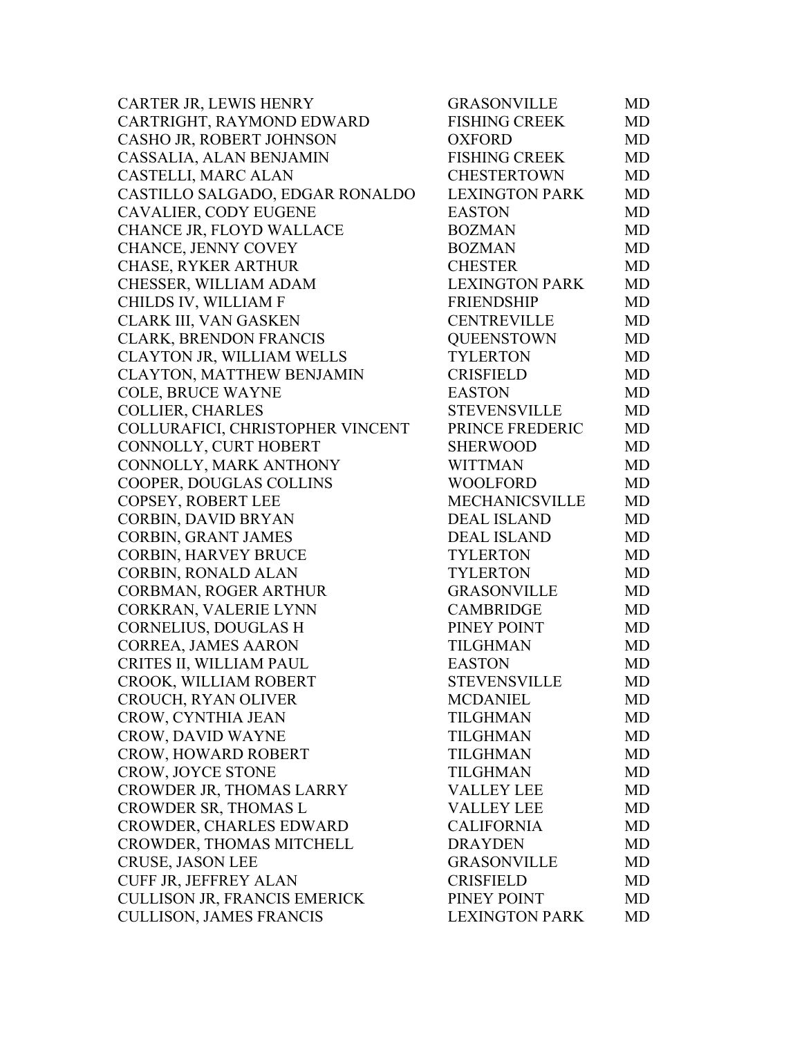| CARTER JR, LEWIS HENRY              | <b>GRASONVILLE</b>    | MD.       |
|-------------------------------------|-----------------------|-----------|
| CARTRIGHT, RAYMOND EDWARD           | <b>FISHING CREEK</b>  | MD        |
| CASHO JR, ROBERT JOHNSON            | <b>OXFORD</b>         | MD        |
| CASSALIA, ALAN BENJAMIN             | <b>FISHING CREEK</b>  | MD        |
| CASTELLI, MARC ALAN                 | <b>CHESTERTOWN</b>    | MD        |
| CASTILLO SALGADO, EDGAR RONALDO     | <b>LEXINGTON PARK</b> | MD        |
| CAVALIER, CODY EUGENE               | <b>EASTON</b>         | MD        |
| CHANCE JR, FLOYD WALLACE            | <b>BOZMAN</b>         | MD        |
| CHANCE, JENNY COVEY                 | <b>BOZMAN</b>         | MD        |
| CHASE, RYKER ARTHUR                 | <b>CHESTER</b>        | MD        |
| CHESSER, WILLIAM ADAM               | <b>LEXINGTON PARK</b> | MD        |
| CHILDS IV, WILLIAM F                | <b>FRIENDSHIP</b>     | MD        |
| CLARK III, VAN GASKEN               | <b>CENTREVILLE</b>    | MD        |
| CLARK, BRENDON FRANCIS              | <b>QUEENSTOWN</b>     | MD        |
| CLAYTON JR, WILLIAM WELLS           | <b>TYLERTON</b>       | MD        |
| CLAYTON, MATTHEW BENJAMIN           | <b>CRISFIELD</b>      | MD        |
| <b>COLE, BRUCE WAYNE</b>            | <b>EASTON</b>         | MD        |
| <b>COLLIER, CHARLES</b>             | <b>STEVENSVILLE</b>   | MD        |
| COLLURAFICI, CHRISTOPHER VINCENT    | PRINCE FREDERIC       | <b>MD</b> |
| CONNOLLY, CURT HOBERT               | <b>SHERWOOD</b>       | <b>MD</b> |
| CONNOLLY, MARK ANTHONY              | <b>WITTMAN</b>        | MD        |
| COOPER, DOUGLAS COLLINS             | <b>WOOLFORD</b>       | MD        |
| COPSEY, ROBERT LEE                  | MECHANICSVILLE        | MD        |
| CORBIN, DAVID BRYAN                 | <b>DEAL ISLAND</b>    | MD        |
| <b>CORBIN, GRANT JAMES</b>          | <b>DEAL ISLAND</b>    | MD        |
| <b>CORBIN, HARVEY BRUCE</b>         | <b>TYLERTON</b>       | MD        |
| CORBIN, RONALD ALAN                 | <b>TYLERTON</b>       | MD        |
| CORBMAN, ROGER ARTHUR               | <b>GRASONVILLE</b>    | MD        |
| CORKRAN, VALERIE LYNN               | <b>CAMBRIDGE</b>      | MD        |
| <b>CORNELIUS, DOUGLAS H</b>         | PINEY POINT           | <b>MD</b> |
| CORREA, JAMES AARON                 | <b>TILGHMAN</b>       | <b>MD</b> |
| CRITES II, WILLIAM PAUL             | <b>EASTON</b>         | MD        |
| CROOK, WILLIAM ROBERT               | <b>STEVENSVILLE</b>   | MD        |
| CROUCH, RYAN OLIVER                 | <b>MCDANIEL</b>       | MD.       |
| CROW, CYNTHIA JEAN                  | <b>TILGHMAN</b>       | MD        |
| <b>CROW, DAVID WAYNE</b>            | TILGHMAN              | <b>MD</b> |
| CROW, HOWARD ROBERT                 | <b>TILGHMAN</b>       | MD        |
| <b>CROW, JOYCE STONE</b>            | <b>TILGHMAN</b>       | <b>MD</b> |
| CROWDER JR, THOMAS LARRY            | <b>VALLEY LEE</b>     | MD        |
| CROWDER SR, THOMAS L                | <b>VALLEY LEE</b>     | MD        |
| CROWDER, CHARLES EDWARD             | <b>CALIFORNIA</b>     | MD        |
| CROWDER, THOMAS MITCHELL            | <b>DRAYDEN</b>        | MD        |
| <b>CRUSE, JASON LEE</b>             | <b>GRASONVILLE</b>    | MD        |
| CUFF JR, JEFFREY ALAN               | <b>CRISFIELD</b>      | MD        |
| <b>CULLISON JR, FRANCIS EMERICK</b> | PINEY POINT           | MD        |
| <b>CULLISON, JAMES FRANCIS</b>      | <b>LEXINGTON PARK</b> | MD        |
|                                     |                       |           |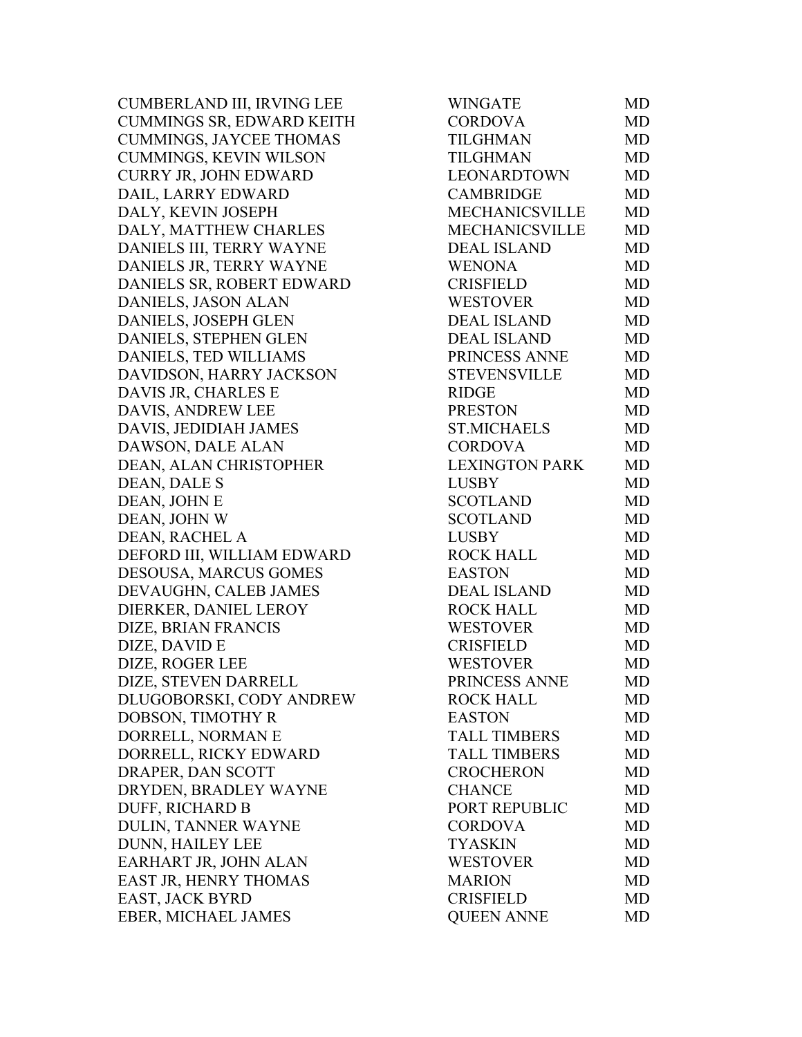CUMBERLAND III, IRVING LEE CUMMINGS SR, EDWARD KEITH CUMMINGS, JAYCEE THOMAS CUMMINGS, KEVIN WILSON CURRY JR, JOHN EDWARD DAIL, LARRY EDWARD DALY, KEVIN JOSEPH DALY, MATTHEW CHARLES DANIELS III, TERRY WAYNE DANIELS JR, TERRY WAYNE DANIELS SR, ROBERT EDWARD DANIELS, JASON ALAN DANIELS, JOSEPH GLEN DANIELS, STEPHEN GLEN DANIELS, TED WILLIAMS DAVIDSON, HARRY JACKSON DAVIS JR, CHARLES E DAVIS, ANDREW LEE DAVIS, JEDIDIAH JAMES DAWSON, DALE ALAN DEAN, ALAN CHRISTOPHER DEAN, DALE S DEAN, JOHN E DEAN, JOHN W DEAN, RACHEL A DEFORD III, WILLIAM EDWARD DESOUSA, MARCUS GOMES DEVAUGHN, CALEB JAMES DIERKER, DANIEL LEROY DIZE, BRIAN FRANCIS DIZE, DAVID E DIZE, ROGER LEE DIZE, STEVEN DARRELL DLUGOBORSKI, CODY ANDREW DOBSON, TIMOTHY R DORRELL, NORMAN E DORRELL, RICKY EDWARD DRAPER, DAN SCOTT DRYDEN, BRADLEY WAYNE DUFF, RICHARD B DULIN, TANNER WAYNE DUNN, HAILEY LEE EARHART JR, JOHN ALAN EAST JR, HENRY THOMAS EAST, JACK BYRD EBER, MICHAEL JAMES

| WINGATE               | MD        |
|-----------------------|-----------|
| <b>CORDOVA</b>        | <b>MD</b> |
| TILGHMAN              | <b>MD</b> |
| <b>TILGHMAN</b>       | <b>MD</b> |
| <b>LEONARDTOWN</b>    | <b>MD</b> |
| <b>CAMBRIDGE</b>      | <b>MD</b> |
| MECHANICSVILLE        | <b>MD</b> |
| MECHANICSVILLE        | <b>MD</b> |
| <b>DEAL ISLAND</b>    | <b>MD</b> |
| <b>WENONA</b>         | <b>MD</b> |
| <b>CRISFIELD</b>      | <b>MD</b> |
| <b>WESTOVER</b>       | MD        |
| <b>DEAL ISLAND</b>    | <b>MD</b> |
| <b>DEAL ISLAND</b>    | <b>MD</b> |
| PRINCESS ANNE         | <b>MD</b> |
| <b>STEVENSVILLE</b>   | <b>MD</b> |
| <b>RIDGE</b>          | <b>MD</b> |
| <b>PRESTON</b>        | MD        |
| <b>ST.MICHAELS</b>    | <b>MD</b> |
| <b>CORDOVA</b>        | <b>MD</b> |
| <b>LEXINGTON PARK</b> | <b>MD</b> |
| <b>LUSBY</b>          | MD        |
| <b>SCOTLAND</b>       | <b>MD</b> |
| <b>SCOTLAND</b>       | MD        |
| <b>LUSBY</b>          | <b>MD</b> |
| <b>ROCK HALL</b>      | MD        |
| <b>EASTON</b>         | <b>MD</b> |
| <b>DEAL ISLAND</b>    | <b>MD</b> |
| <b>ROCK HALL</b>      | <b>MD</b> |
| <b>WESTOVER</b>       | <b>MD</b> |
| <b>CRISFIELD</b>      | MD        |
| <b>WESTOVER</b>       | <b>MD</b> |
| PRINCESS ANNE         | MD        |
| <b>ROCK HALL</b>      | <b>MD</b> |
| <b>EASTON</b>         | <b>MD</b> |
| <b>TALL TIMBERS</b>   | MD        |
| <b>TALL TIMBERS</b>   | MD        |
| <b>CROCHERON</b>      | MD        |
| <b>CHANCE</b>         | <b>MD</b> |
| PORT REPUBLIC         | <b>MD</b> |
| <b>CORDOVA</b>        | <b>MD</b> |
| <b>TYASKIN</b>        | MD        |
| <b>WESTOVER</b>       | <b>MD</b> |
| <b>MARION</b>         | <b>MD</b> |
| <b>CRISFIELD</b>      | <b>MD</b> |
| <b>QUEEN ANNE</b>     | MD        |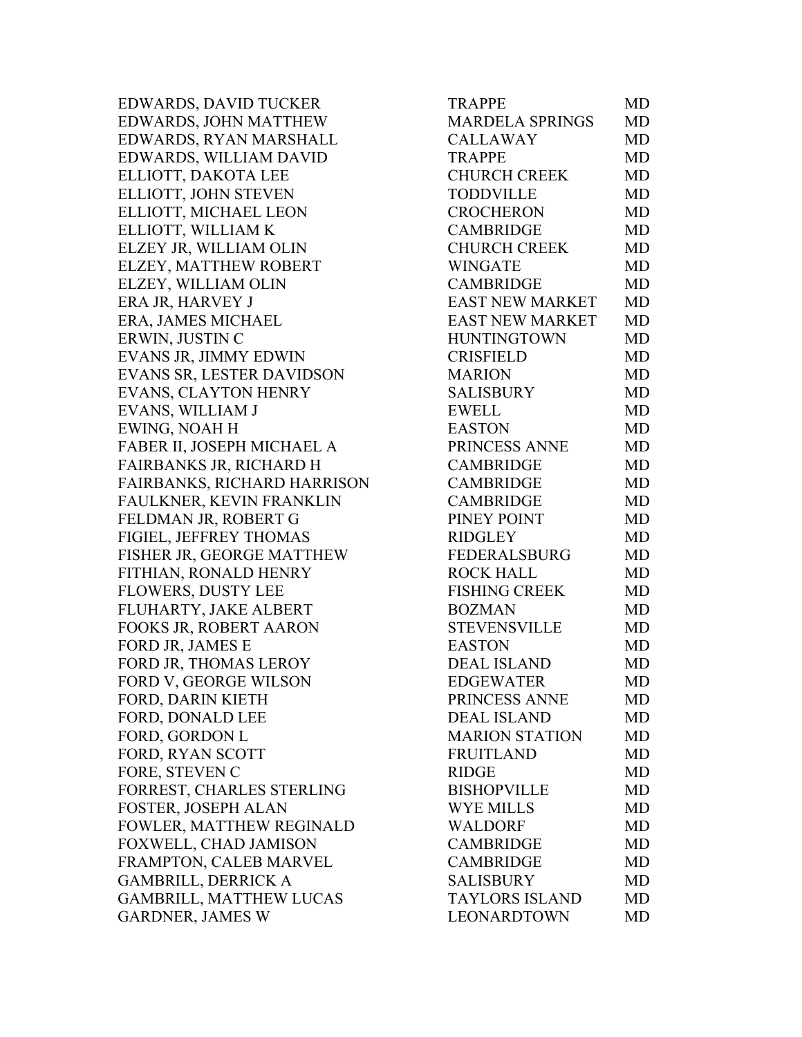EDWARDS, DAVID TUCKER EDWARDS, JOHN MATTHEW EDWARDS, RYAN MARSHALL EDWARDS, WILLIAM DAVID ELLIOTT, DAKOTA LEE ELLIOTT, JOHN STEVEN ELLIOTT, MICHAEL LEON ELLIOTT, WILLIAM K ELZEY JR, WILLIAM OLIN ELZEY, MATTHEW ROBERT ELZEY, WILLIAM OLIN ERA JR, HARVEY J ERA, JAMES MICHAEL ERWIN, JUSTIN C EVANS JR, JIMMY EDWIN EVANS SR, LESTER DAVIDSON EVANS, CLAYTON HENRY EVANS, WILLIAM J EWING, NOAH H FABER II, JOSEPH MICHAEL A FAIRBANKS JR, RICHARD H FAIRBANKS, RICHARD HARRISON FAULKNER, KEVIN FRANKLIN FELDMAN JR, ROBERT G FIGIEL, JEFFREY THOMAS FISHER JR, GEORGE MATTHEW FITHIAN, RONALD HENRY FLOWERS, DUSTY LEE FLUHARTY, JAKE ALBERT FOOKS JR, ROBERT AARON FORD JR, JAMES E FORD JR, THOMAS LEROY FORD V, GEORGE WILSON FORD, DARIN KIETH FORD, DONALD LEE FORD, GORDON L FORD, RYAN SCOTT FORE, STEVEN C FORREST, CHARLES STERLING FOSTER, JOSEPH ALAN FOWLER, MATTHEW REGINALD FOXWELL, CHAD JAMISON FRAMPTON, CALEB MARVEL GAMBRILL, DERRICK A GAMBRILL, MATTHEW LUCAS GARDNER, JAMES W

| <b>TRAPPE</b>          | MD        |
|------------------------|-----------|
| <b>MARDELA SPRINGS</b> | <b>MD</b> |
| <b>CALLAWAY</b>        | MD        |
| <b>TRAPPE</b>          | <b>MD</b> |
| <b>CHURCH CREEK</b>    | <b>MD</b> |
| <b>TODDVILLE</b>       | <b>MD</b> |
| <b>CROCHERON</b>       | <b>MD</b> |
| <b>CAMBRIDGE</b>       | <b>MD</b> |
| <b>CHURCH CREEK</b>    | <b>MD</b> |
| <b>WINGATE</b>         | <b>MD</b> |
| <b>CAMBRIDGE</b>       | <b>MD</b> |
| <b>EAST NEW MARKET</b> | <b>MD</b> |
| EAST NEW MARKET        | <b>MD</b> |
| <b>HUNTINGTOWN</b>     | <b>MD</b> |
| <b>CRISFIELD</b>       | <b>MD</b> |
| <b>MARION</b>          | <b>MD</b> |
| <b>SALISBURY</b>       | MD        |
| <b>EWELL</b>           | MD        |
| <b>EASTON</b>          | <b>MD</b> |
| PRINCESS ANNE          | <b>MD</b> |
| <b>CAMBRIDGE</b>       | <b>MD</b> |
| <b>CAMBRIDGE</b>       | MD        |
| <b>CAMBRIDGE</b>       | MD        |
| PINEY POINT            | MD        |
| <b>RIDGLEY</b>         | <b>MD</b> |
| FEDERALSBURG           | MD        |
| <b>ROCK HALL</b>       | <b>MD</b> |
| <b>FISHING CREEK</b>   | <b>MD</b> |
| <b>BOZMAN</b>          | MD        |
| <b>STEVENSVILLE</b>    | <b>MD</b> |
| <b>EASTON</b>          | MD        |
| <b>DEAL ISLAND</b>     | <b>MD</b> |
| <b>EDGEWATER</b>       | <b>MD</b> |
| PRINCESS ANNE          | MD        |
| <b>DEAL ISLAND</b>     | <b>MD</b> |
| <b>MARION STATION</b>  | <b>MD</b> |
| <b>FRUITLAND</b>       | <b>MD</b> |
| <b>RIDGE</b>           | <b>MD</b> |
| <b>BISHOPVILLE</b>     | <b>MD</b> |
| <b>WYE MILLS</b>       | <b>MD</b> |
| <b>WALDORF</b>         | <b>MD</b> |
| <b>CAMBRIDGE</b>       | <b>MD</b> |
| <b>CAMBRIDGE</b>       | <b>MD</b> |
| <b>SALISBURY</b>       | <b>MD</b> |
| <b>TAYLORS ISLAND</b>  | <b>MD</b> |
| LEONARDTOWN            | MD        |
|                        |           |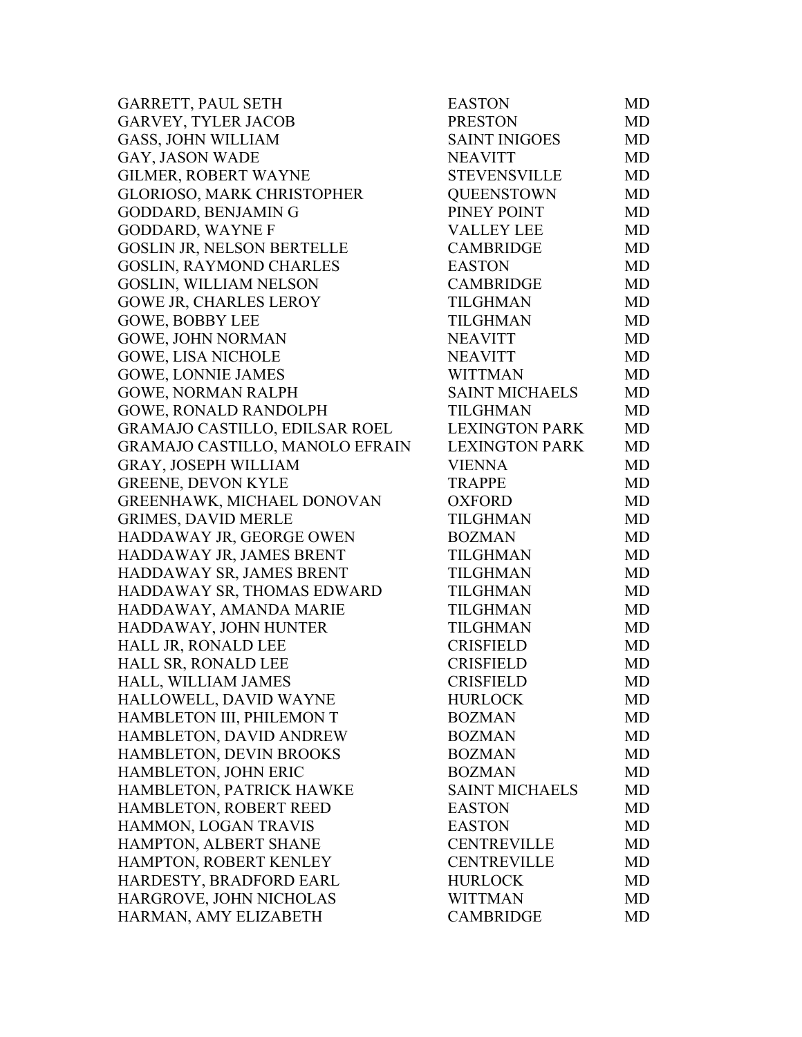| GARRETT, PAUL SETH                | <b>EASTON</b>         | MD        |
|-----------------------------------|-----------------------|-----------|
| <b>GARVEY, TYLER JACOB</b>        | <b>PRESTON</b>        | MD        |
| <b>GASS, JOHN WILLIAM</b>         | <b>SAINT INIGOES</b>  | MD        |
| GAY, JASON WADE                   | <b>NEAVITT</b>        | MD        |
| <b>GILMER, ROBERT WAYNE</b>       | <b>STEVENSVILLE</b>   | MD        |
| <b>GLORIOSO, MARK CHRISTOPHER</b> | <b>QUEENSTOWN</b>     | MD        |
| GODDARD, BENJAMIN G               | PINEY POINT           | MD        |
| <b>GODDARD, WAYNE F</b>           | <b>VALLEY LEE</b>     | MD        |
| <b>GOSLIN JR, NELSON BERTELLE</b> | <b>CAMBRIDGE</b>      | MD        |
| <b>GOSLIN, RAYMOND CHARLES</b>    | <b>EASTON</b>         | MD        |
| <b>GOSLIN, WILLIAM NELSON</b>     | <b>CAMBRIDGE</b>      | MD        |
| GOWE JR, CHARLES LEROY            | <b>TILGHMAN</b>       | MD        |
| <b>GOWE, BOBBY LEE</b>            | <b>TILGHMAN</b>       | MD        |
| <b>GOWE, JOHN NORMAN</b>          | <b>NEAVITT</b>        | MD        |
| <b>GOWE, LISA NICHOLE</b>         | <b>NEAVITT</b>        | MD        |
| <b>GOWE, LONNIE JAMES</b>         | <b>WITTMAN</b>        | MD        |
| <b>GOWE, NORMAN RALPH</b>         | <b>SAINT MICHAELS</b> | MD        |
| <b>GOWE, RONALD RANDOLPH</b>      | <b>TILGHMAN</b>       | MD        |
| GRAMAJO CASTILLO, EDILSAR ROEL    | <b>LEXINGTON PARK</b> | MD        |
| GRAMAJO CASTILLO, MANOLO EFRAIN   | <b>LEXINGTON PARK</b> | MD        |
| GRAY, JOSEPH WILLIAM              | <b>VIENNA</b>         | MD        |
| <b>GREENE, DEVON KYLE</b>         | <b>TRAPPE</b>         | MD        |
| GREENHAWK, MICHAEL DONOVAN        | <b>OXFORD</b>         | MD        |
| <b>GRIMES, DAVID MERLE</b>        | TILGHMAN              | MD        |
| HADDAWAY JR, GEORGE OWEN          | <b>BOZMAN</b>         | MD        |
| HADDAWAY JR, JAMES BRENT          | TILGHMAN              | MD        |
| HADDAWAY SR, JAMES BRENT          | <b>TILGHMAN</b>       | MD        |
| HADDAWAY SR, THOMAS EDWARD        | <b>TILGHMAN</b>       | MD        |
| HADDAWAY, AMANDA MARIE            | <b>TILGHMAN</b>       | MD        |
| HADDAWAY, JOHN HUNTER             | <b>TILGHMAN</b>       | MD        |
| HALL JR, RONALD LEE               | <b>CRISFIELD</b>      | MD        |
| HALL SR, RONALD LEE               | <b>CRISFIELD</b>      | <b>MD</b> |
| HALL, WILLIAM JAMES               | <b>CRISFIELD</b>      | MD        |
| HALLOWELL, DAVID WAYNE            | <b>HURLOCK</b>        | MD        |
| HAMBLETON III, PHILEMON T         | <b>BOZMAN</b>         | MD        |
| HAMBLETON, DAVID ANDREW           | <b>BOZMAN</b>         | MD        |
| HAMBLETON, DEVIN BROOKS           | <b>BOZMAN</b>         | MD        |
| HAMBLETON, JOHN ERIC              | <b>BOZMAN</b>         | MD        |
| HAMBLETON, PATRICK HAWKE          | <b>SAINT MICHAELS</b> | MD        |
| HAMBLETON, ROBERT REED            | <b>EASTON</b>         | MD        |
| HAMMON, LOGAN TRAVIS              | <b>EASTON</b>         | MD        |
| HAMPTON, ALBERT SHANE             | <b>CENTREVILLE</b>    | MD        |
| HAMPTON, ROBERT KENLEY            | <b>CENTREVILLE</b>    | MD        |
| HARDESTY, BRADFORD EARL           | <b>HURLOCK</b>        | MD        |
| HARGROVE, JOHN NICHOLAS           | <b>WITTMAN</b>        | MD        |
| HARMAN, AMY ELIZABETH             | <b>CAMBRIDGE</b>      | MD        |
|                                   |                       |           |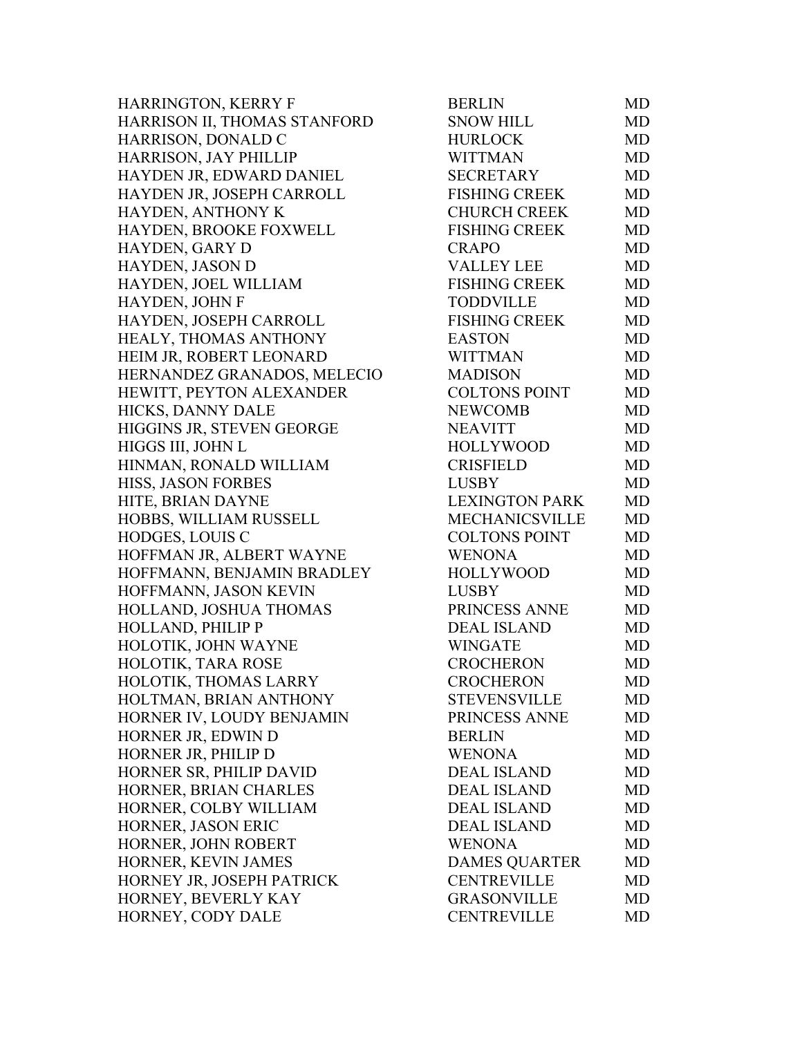| HARRINGTON, KERRY F          | <b>BERLIN</b>         | MD        |
|------------------------------|-----------------------|-----------|
| HARRISON II, THOMAS STANFORD | <b>SNOW HILL</b>      | <b>MD</b> |
| HARRISON, DONALD C           | <b>HURLOCK</b>        | <b>MD</b> |
| HARRISON, JAY PHILLIP        | <b>WITTMAN</b>        | <b>MD</b> |
| HAYDEN JR, EDWARD DANIEL     | <b>SECRETARY</b>      | <b>MD</b> |
| HAYDEN JR, JOSEPH CARROLL    | <b>FISHING CREEK</b>  | <b>MD</b> |
| HAYDEN, ANTHONY K            | <b>CHURCH CREEK</b>   | <b>MD</b> |
| HAYDEN, BROOKE FOXWELL       | <b>FISHING CREEK</b>  | <b>MD</b> |
| HAYDEN, GARY D               | <b>CRAPO</b>          | <b>MD</b> |
| HAYDEN, JASON D              | <b>VALLEY LEE</b>     | <b>MD</b> |
| HAYDEN, JOEL WILLIAM         | <b>FISHING CREEK</b>  | <b>MD</b> |
| HAYDEN, JOHN F               | <b>TODDVILLE</b>      | <b>MD</b> |
| HAYDEN, JOSEPH CARROLL       | <b>FISHING CREEK</b>  | <b>MD</b> |
| HEALY, THOMAS ANTHONY        | <b>EASTON</b>         | <b>MD</b> |
| HEIM JR, ROBERT LEONARD      | <b>WITTMAN</b>        | <b>MD</b> |
| HERNANDEZ GRANADOS, MELECIO  | <b>MADISON</b>        | MD        |
| HEWITT, PEYTON ALEXANDER     | <b>COLTONS POINT</b>  | <b>MD</b> |
| HICKS, DANNY DALE            | <b>NEWCOMB</b>        | MD        |
| HIGGINS JR, STEVEN GEORGE    | <b>NEAVITT</b>        | MD        |
| HIGGS III, JOHN L            | <b>HOLLYWOOD</b>      | <b>MD</b> |
| HINMAN, RONALD WILLIAM       | <b>CRISFIELD</b>      | <b>MD</b> |
| <b>HISS, JASON FORBES</b>    | <b>LUSBY</b>          | MD        |
| HITE, BRIAN DAYNE            | <b>LEXINGTON PARK</b> | MD        |
| HOBBS, WILLIAM RUSSELL       | <b>MECHANICSVILLE</b> | <b>MD</b> |
| HODGES, LOUIS C              | <b>COLTONS POINT</b>  | MD        |
| HOFFMAN JR, ALBERT WAYNE     | <b>WENONA</b>         | MD        |
| HOFFMANN, BENJAMIN BRADLEY   | <b>HOLLYWOOD</b>      | <b>MD</b> |
| HOFFMANN, JASON KEVIN        | <b>LUSBY</b>          | <b>MD</b> |
| HOLLAND, JOSHUA THOMAS       | PRINCESS ANNE         | <b>MD</b> |
| HOLLAND, PHILIP P            | <b>DEAL ISLAND</b>    | <b>MD</b> |
| HOLOTIK, JOHN WAYNE          | <b>WINGATE</b>        | MD        |
| HOLOTIK, TARA ROSE           | <b>CROCHERON</b>      | MD        |
| HOLOTIK, THOMAS LARRY        | <b>CROCHERON</b>      | MD        |
| HOLTMAN, BRIAN ANTHONY       | <b>STEVENSVILLE</b>   | <b>MD</b> |
| HORNER IV, LOUDY BENJAMIN    | PRINCESS ANNE         | MD        |
| HORNER JR, EDWIN D           | <b>BERLIN</b>         | MD        |
| HORNER JR, PHILIP D          | <b>WENONA</b>         | <b>MD</b> |
| HORNER SR, PHILIP DAVID      | <b>DEAL ISLAND</b>    | MD        |
| HORNER, BRIAN CHARLES        | <b>DEAL ISLAND</b>    | <b>MD</b> |
| HORNER, COLBY WILLIAM        | <b>DEAL ISLAND</b>    | <b>MD</b> |
| HORNER, JASON ERIC           | <b>DEAL ISLAND</b>    | MD        |
| HORNER, JOHN ROBERT          | <b>WENONA</b>         | MD        |
| HORNER, KEVIN JAMES          | <b>DAMES QUARTER</b>  | MD        |
| HORNEY JR, JOSEPH PATRICK    | <b>CENTREVILLE</b>    | <b>MD</b> |
| HORNEY, BEVERLY KAY          | <b>GRASONVILLE</b>    | MD        |
| HORNEY, CODY DALE            | <b>CENTREVILLE</b>    | MD        |
|                              |                       |           |

| <b>BERLIN</b>         | MD        |
|-----------------------|-----------|
| <b>SNOW HILL</b>      | <b>MD</b> |
| <b>HURLOCK</b>        | <b>MD</b> |
| <b>WITTMAN</b>        | <b>MD</b> |
| <b>SECRETARY</b>      | <b>MD</b> |
| <b>FISHING CREEK</b>  | <b>MD</b> |
| <b>CHURCH CREEK</b>   | <b>MD</b> |
| <b>FISHING CREEK</b>  | <b>MD</b> |
| <b>CRAPO</b>          | <b>MD</b> |
| <b>VALLEY LEE</b>     | <b>MD</b> |
| <b>FISHING CREEK</b>  | <b>MD</b> |
| <b>TODDVILLE</b>      | <b>MD</b> |
| <b>FISHING CREEK</b>  | <b>MD</b> |
| <b>EASTON</b>         | <b>MD</b> |
| <b>WITTMAN</b>        | <b>MD</b> |
| <b>MADISON</b>        | MD        |
| <b>COLTONS POINT</b>  | <b>MD</b> |
| <b>NEWCOMB</b>        | <b>MD</b> |
| <b>NEAVITT</b>        | MD        |
| <b>HOLLYWOOD</b>      | <b>MD</b> |
| <b>CRISFIELD</b>      | <b>MD</b> |
| <b>LUSBY</b>          | MD        |
| <b>LEXINGTON PARK</b> | <b>MD</b> |
| MECHANICSVILLE        | <b>MD</b> |
| <b>COLTONS POINT</b>  | <b>MD</b> |
| <b>WENONA</b>         | <b>MD</b> |
| <b>HOLLYWOOD</b>      | <b>MD</b> |
| <b>LUSBY</b>          | <b>MD</b> |
| PRINCESS ANNE         | <b>MD</b> |
| <b>DEAL ISLAND</b>    | <b>MD</b> |
| <b>WINGATE</b>        | <b>MD</b> |
| <b>CROCHERON</b>      | MD        |
| <b>CROCHERON</b>      | MD        |
| <b>STEVENSVILLE</b>   | MD        |
| PRINCESS ANNE         | <b>MD</b> |
| <b>BERLIN</b>         | MD        |
| <b>WENONA</b>         | MD        |
| <b>DEAL ISLAND</b>    | MD        |
| <b>DEAL ISLAND</b>    | <b>MD</b> |
| <b>DEAL ISLAND</b>    | MD        |
| <b>DEAL ISLAND</b>    | <b>MD</b> |
| <b>WENONA</b>         | MD        |
| <b>DAMES QUARTER</b>  | <b>MD</b> |
| <b>CENTREVILLE</b>    | MD        |
| <b>GRASONVILLE</b>    | <b>MD</b> |
| <b>CENTREVILLE</b>    | <b>MD</b> |
|                       |           |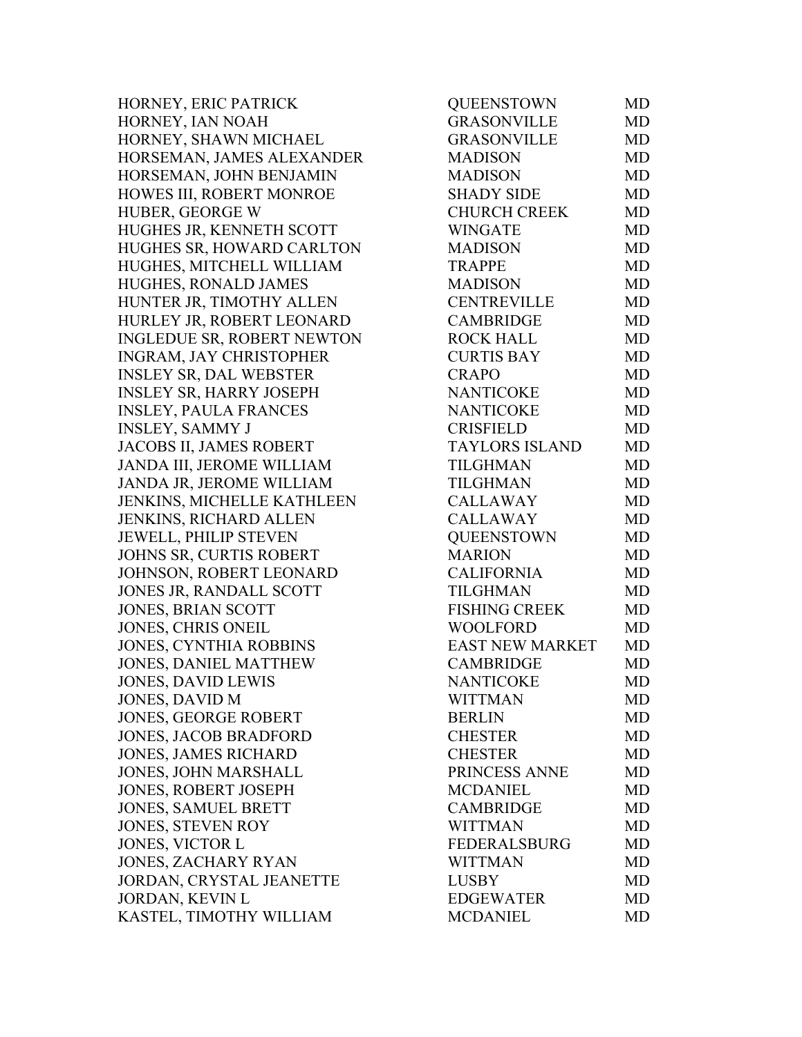HORNEY, ERIC PATRICK HORNEY, IAN NOAH HORNEY, SHAWN MICHAEL HORSEMAN, JAMES ALEXANDER HORSEMAN, JOHN BENJAMIN HOWES III, ROBERT MONROE HUBER, GEORGE W HUGHES JR, KENNETH SCOTT HUGHES SR, HOWARD CARLTON HUGHES, MITCHELL WILLIAM HUGHES, RONALD JAMES HUNTER JR, TIMOTHY ALLEN HURLEY JR, ROBERT LEONARD INGLEDUE SR, ROBERT NEWTON INGRAM, JAY CHRISTOPHER INSLEY SR, DAL WEBSTER INSLEY SR, HARRY JOSEPH INSLEY, PAULA FRANCES INSLEY, SAMMY J JACOBS II, JAMES ROBERT JANDA III, JEROME WILLIAM JANDA JR, JEROME WILLIAM JENKINS, MICHELLE KATHLEEN JENKINS, RICHARD ALLEN JEWELL, PHILIP STEVEN JOHNS SR, CURTIS ROBERT JOHNSON, ROBERT LEONARD JONES JR, RANDALL SCOTT JONES, BRIAN SCOTT JONES, CHRIS ONEIL JONES, CYNTHIA ROBBINS JONES, DANIEL MATTHEW JONES, DAVID LEWIS JONES, DAVID M JONES, GEORGE ROBERT JONES, JACOB BRADFORD JONES, JAMES RICHARD JONES, JOHN MARSHALL JONES, ROBERT JOSEPH JONES, SAMUEL BRETT JONES, STEVEN ROY JONES, VICTOR L JONES, ZACHARY RYAN JORDAN, CRYSTAL JEANETTE JORDAN, KEVIN L KASTEL, TIMOTHY WILLIAM

| QUEENSTOWN             | MD        |
|------------------------|-----------|
| <b>GRASONVILLE</b>     | <b>MD</b> |
| <b>GRASONVILLE</b>     | <b>MD</b> |
| <b>MADISON</b>         | <b>MD</b> |
| <b>MADISON</b>         | <b>MD</b> |
| <b>SHADY SIDE</b>      | <b>MD</b> |
| <b>CHURCH CREEK</b>    | MD        |
| <b>WINGATE</b>         | MD        |
| <b>MADISON</b>         | <b>MD</b> |
| <b>TRAPPE</b>          | <b>MD</b> |
| <b>MADISON</b>         | <b>MD</b> |
| <b>CENTREVILLE</b>     | MD        |
| <b>CAMBRIDGE</b>       | <b>MD</b> |
| <b>ROCK HALL</b>       | <b>MD</b> |
| <b>CURTIS BAY</b>      | <b>MD</b> |
| <b>CRAPO</b>           | <b>MD</b> |
| <b>NANTICOKE</b>       | MD        |
| <b>NANTICOKE</b>       | <b>MD</b> |
| <b>CRISFIELD</b>       | <b>MD</b> |
| <b>TAYLORS ISLAND</b>  | <b>MD</b> |
| <b>TILGHMAN</b>        | <b>MD</b> |
| <b>TILGHMAN</b>        | MD        |
| <b>CALLAWAY</b>        | <b>MD</b> |
| <b>CALLAWAY</b>        | <b>MD</b> |
| <b>QUEENSTOWN</b>      | <b>MD</b> |
| <b>MARION</b>          | MD        |
| <b>CALIFORNIA</b>      | MD        |
| <b>TILGHMAN</b>        | <b>MD</b> |
| <b>FISHING CREEK</b>   | <b>MD</b> |
| <b>WOOLFORD</b>        | <b>MD</b> |
| <b>EAST NEW MARKET</b> | <b>MD</b> |
| <b>CAMBRIDGE</b>       | MD        |
| <b>NANTICOKE</b>       | MD        |
| <b>WITTMAN</b>         | MD        |
| <b>BERLIN</b>          | MD        |
| <b>CHESTER</b>         | MD        |
| <b>CHESTER</b>         | <b>MD</b> |
| PRINCESS ANNE          | MD        |
| <b>MCDANIEL</b>        | <b>MD</b> |
| <b>CAMBRIDGE</b>       | <b>MD</b> |
| <b>WITTMAN</b>         | <b>MD</b> |
| <b>FEDERALSBURG</b>    | <b>MD</b> |
| <b>WITTMAN</b>         | <b>MD</b> |
| <b>LUSBY</b>           | MD        |
| <b>EDGEWATER</b>       | <b>MD</b> |
| <b>MCDANIEL</b>        | <b>MD</b> |
|                        |           |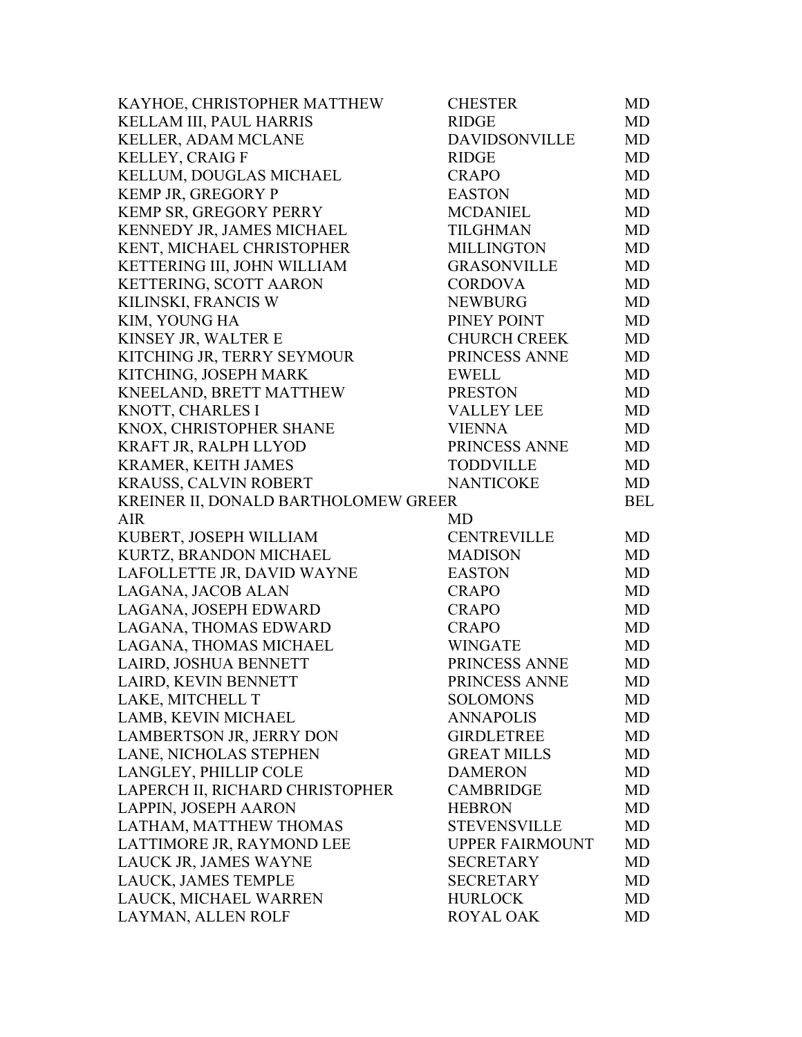| KAYHOE, CHRISTOPHER MATTHEW          | <b>CHESTER</b>         | MD         |
|--------------------------------------|------------------------|------------|
| KELLAM III, PAUL HARRIS              | <b>RIDGE</b>           | <b>MD</b>  |
| KELLER, ADAM MCLANE                  | <b>DAVIDSONVILLE</b>   | MD         |
| <b>KELLEY, CRAIG F</b>               | <b>RIDGE</b>           | <b>MD</b>  |
| KELLUM, DOUGLAS MICHAEL              | <b>CRAPO</b>           | MD         |
| KEMP JR, GREGORY P                   | <b>EASTON</b>          | MD         |
| KEMP SR, GREGORY PERRY               | <b>MCDANIEL</b>        | MD         |
| KENNEDY JR, JAMES MICHAEL            | <b>TILGHMAN</b>        | MD         |
| KENT, MICHAEL CHRISTOPHER            | <b>MILLINGTON</b>      | MD         |
| KETTERING III, JOHN WILLIAM          | <b>GRASONVILLE</b>     | <b>MD</b>  |
| KETTERING, SCOTT AARON               | <b>CORDOVA</b>         | MD         |
| KILINSKI, FRANCIS W                  | <b>NEWBURG</b>         | MD         |
| KIM, YOUNG HA                        | PINEY POINT            | MD         |
| KINSEY JR, WALTER E                  | <b>CHURCH CREEK</b>    | MD         |
| KITCHING JR, TERRY SEYMOUR           | PRINCESS ANNE          | MD         |
| KITCHING, JOSEPH MARK                | <b>EWELL</b>           | MD         |
| KNEELAND, BRETT MATTHEW              | <b>PRESTON</b>         | <b>MD</b>  |
| KNOTT, CHARLES I                     | <b>VALLEY LEE</b>      | MD         |
| KNOX, CHRISTOPHER SHANE              | <b>VIENNA</b>          | <b>MD</b>  |
| KRAFT JR, RALPH LLYOD                | PRINCESS ANNE          | MD         |
| <b>KRAMER, KEITH JAMES</b>           | <b>TODDVILLE</b>       | <b>MD</b>  |
| KRAUSS, CALVIN ROBERT                | <b>NANTICOKE</b>       | MD         |
| KREINER II, DONALD BARTHOLOMEW GREER |                        | <b>BEL</b> |
| <b>AIR</b>                           | MD                     |            |
| KUBERT, JOSEPH WILLIAM               | <b>CENTREVILLE</b>     | MD         |
| KURTZ, BRANDON MICHAEL               | <b>MADISON</b>         | <b>MD</b>  |
| LAFOLLETTE JR, DAVID WAYNE           | <b>EASTON</b>          | <b>MD</b>  |
| LAGANA, JACOB ALAN                   | <b>CRAPO</b>           | MD         |
| LAGANA, JOSEPH EDWARD                | <b>CRAPO</b>           | <b>MD</b>  |
| LAGANA, THOMAS EDWARD                | <b>CRAPO</b>           | <b>MD</b>  |
| LAGANA, THOMAS MICHAEL               | <b>WINGATE</b>         | MD         |
| LAIRD, JOSHUA BENNETT                | PRINCESS ANNE          | MD         |
| LAIRD, KEVIN BENNETT                 | PRINCESS ANNE          | MD         |
| LAKE, MITCHELL T                     | <b>SOLOMONS</b>        | MD         |
| LAMB, KEVIN MICHAEL                  | <b>ANNAPOLIS</b>       | <b>MD</b>  |
| LAMBERTSON JR, JERRY DON             | GIRDLETREE             | <b>MD</b>  |
| LANE, NICHOLAS STEPHEN               | <b>GREAT MILLS</b>     | <b>MD</b>  |
| LANGLEY, PHILLIP COLE                | <b>DAMERON</b>         | MD         |
| LAPERCH II, RICHARD CHRISTOPHER      | <b>CAMBRIDGE</b>       | <b>MD</b>  |
| LAPPIN, JOSEPH AARON                 | <b>HEBRON</b>          | <b>MD</b>  |
| LATHAM, MATTHEW THOMAS               | <b>STEVENSVILLE</b>    | <b>MD</b>  |
| LATTIMORE JR, RAYMOND LEE            | <b>UPPER FAIRMOUNT</b> | MD         |
| LAUCK JR, JAMES WAYNE                | <b>SECRETARY</b>       | MD         |
| LAUCK, JAMES TEMPLE                  | <b>SECRETARY</b>       | <b>MD</b>  |
| LAUCK, MICHAEL WARREN                | <b>HURLOCK</b>         | MD         |
| LAYMAN, ALLEN ROLF                   | <b>ROYAL OAK</b>       | MD         |
|                                      |                        |            |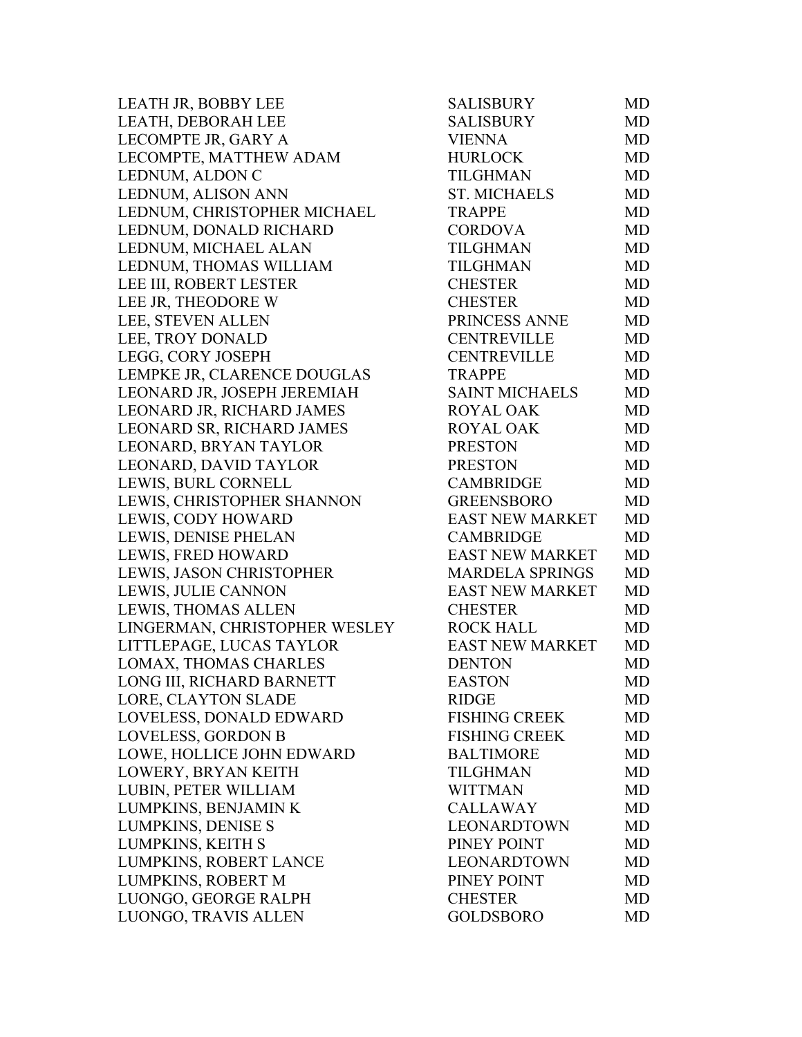LEATH JR, BOBBY LEE LEATH, DEBORAH LEE LECOMPTE JR, GARY A LECOMPTE, MATTHEW ADAM LEDNUM, ALDON C LEDNUM, ALISON ANN LEDNUM, CHRISTOPHER MICHAEL LEDNUM, DONALD RICHARD LEDNUM, MICHAEL ALAN LEDNUM, THOMAS WILLIAM LEE III, ROBERT LESTER LEE JR, THEODORE W LEE, STEVEN ALLEN LEE, TROY DONALD LEGG, CORY JOSEPH LEMPKE JR, CLARENCE DOUGLAS LEONARD JR, JOSEPH JEREMIAH LEONARD JR, RICHARD JAMES LEONARD SR, RICHARD JAMES LEONARD, BRYAN TAYLOR LEONARD, DAVID TAYLOR LEWIS, BURL CORNELL LEWIS, CHRISTOPHER SHANNON LEWIS, CODY HOWARD LEWIS, DENISE PHELAN LEWIS, FRED HOWARD LEWIS, JASON CHRISTOPHER LEWIS, JULIE CANNON LEWIS, THOMAS ALLEN LINGERMAN, CHRISTOPHER WESLEY LITTLEPAGE, LUCAS TAYLOR LOMAX, THOMAS CHARLES LONG III, RICHARD BARNETT LORE, CLAYTON SLADE LOVELESS, DONALD EDWARD LOVELESS, GORDON B LOWE, HOLLICE JOHN EDWARD LOWERY, BRYAN KEITH LUBIN, PETER WILLIAM LUMPKINS, BENJAMIN K LUMPKINS, DENISE S LUMPKINS, KEITH S LUMPKINS, ROBERT LANCE LUMPKINS, ROBERT M LUONGO, GEORGE RALPH LUONGO, TRAVIS ALLEN

| SALISBURY              | MD        |
|------------------------|-----------|
| SALISBURY              | MD        |
| <b>VIENNA</b>          | MD        |
| <b>HURLOCK</b>         | <b>MD</b> |
| <b>TILGHMAN</b>        | <b>MD</b> |
| <b>ST. MICHAELS</b>    | <b>MD</b> |
| <b>TRAPPE</b>          | MD        |
| <b>CORDOVA</b>         | MD        |
| <b>TILGHMAN</b>        | <b>MD</b> |
| <b>TILGHMAN</b>        | <b>MD</b> |
| <b>CHESTER</b>         | <b>MD</b> |
| <b>CHESTER</b>         | MD        |
| PRINCESS ANNE          | MD        |
| <b>CENTREVILLE</b>     | <b>MD</b> |
| <b>CENTREVILLE</b>     | <b>MD</b> |
| <b>TRAPPE</b>          | MD        |
| <b>SAINT MICHAELS</b>  | MD        |
| <b>ROYAL OAK</b>       | <b>MD</b> |
| <b>ROYAL OAK</b>       | <b>MD</b> |
| <b>PRESTON</b>         | MD        |
| <b>PRESTON</b>         | <b>MD</b> |
| <b>CAMBRIDGE</b>       | MD        |
| <b>GREENSBORO</b>      | <b>MD</b> |
| <b>EAST NEW MARKET</b> | <b>MD</b> |
| <b>CAMBRIDGE</b>       | <b>MD</b> |
| <b>EAST NEW MARKET</b> | MD        |
| <b>MARDELA SPRINGS</b> | <b>MD</b> |
| <b>EAST NEW MARKET</b> | MD        |
| <b>CHESTER</b>         | <b>MD</b> |
| <b>ROCK HALL</b>       | MD        |
| <b>EAST NEW MARKET</b> | MD        |
| <b>DENTON</b>          | <b>MD</b> |
| <b>EASTON</b>          | MD        |
| <b>RIDGE</b>           | MD        |
| <b>FISHING CREEK</b>   | <b>MD</b> |
| <b>FISHING CREEK</b>   | <b>MD</b> |
| <b>BALTIMORE</b>       | <b>MD</b> |
| <b>TILGHMAN</b>        | <b>MD</b> |
| <b>WITTMAN</b>         | <b>MD</b> |
| <b>CALLAWAY</b>        | <b>MD</b> |
| LEONARDTOWN            | <b>MD</b> |
| PINEY POINT            | <b>MD</b> |
| LEONARDTOWN            | <b>MD</b> |
| PINEY POINT            | MD        |
| <b>CHESTER</b>         | <b>MD</b> |
| GOLDSBORO              | MD        |
|                        |           |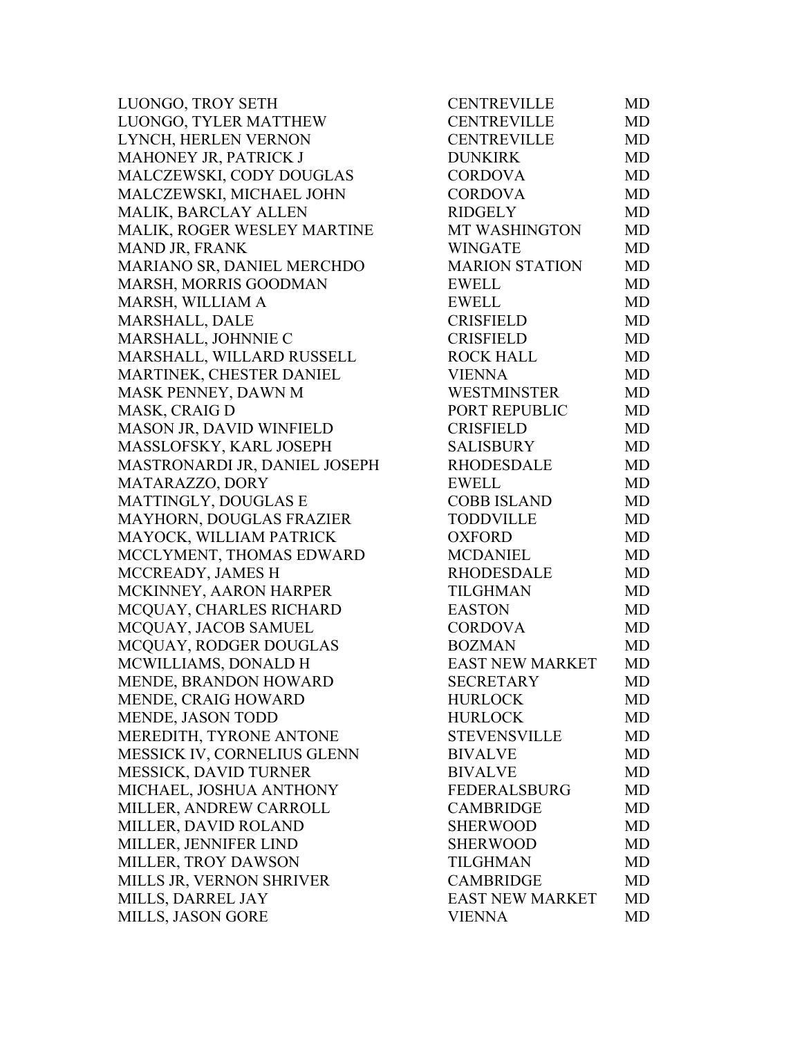LUONGO, TROY SETH LUONGO, TYLER MATTHEW LYNCH, HERLEN VERNON MAHONEY JR, PATRICK J MALCZEWSKI, CODY DOUGLAS MALCZEWSKI, MICHAEL JOHN MALIK, BARCLAY ALLEN MALIK, ROGER WESLEY MARTINE MAND JR, FRANK MARIANO SR, DANIEL MERCHDO MARSH, MORRIS GOODMAN MARSH, WILLIAM A MARSHALL, DALE MARSHALL, JOHNNIE C MARSHALL, WILLARD RUSSELL MARTINEK, CHESTER DANIEL MASK PENNEY, DAWN M MASK, CRAIG D MASON JR, DAVID WINFIELD MASSLOFSKY, KARL JOSEPH MASTRONARDI JR, DANIEL JOSEPH MATARAZZO, DORY MATTINGLY, DOUGLAS E MAYHORN, DOUGLAS FRAZIER MAYOCK, WILLIAM PATRICK MCCLYMENT, THOMAS EDWARD MCCREADY, JAMES H MCKINNEY, AARON HARPER MCQUAY, CHARLES RICHARD MCOUAY, JACOB SAMUEL MCQUAY, RODGER DOUGLAS MCWILLIAMS, DONALD H MENDE, BRANDON HOWARD MENDE, CRAIG HOWARD MENDE, JASON TODD MEREDITH, TYRONE ANTONE MESSICK IV, CORNELIUS GLENN MESSICK, DAVID TURNER MICHAEL, JOSHUA ANTHONY MILLER, ANDREW CARROLL MILLER, DAVID ROLAND MILLER, JENNIFER LIND MILLER, TROY DAWSON MILLS JR, VERNON SHRIVER MILLS, DARREL JAY MILLS, JASON GORE

| CENTREVILLE            | MD        |
|------------------------|-----------|
| <b>CENTREVILLE</b>     | <b>MD</b> |
| <b>CENTREVILLE</b>     | MD        |
| <b>DUNKIRK</b>         | <b>MD</b> |
| <b>CORDOVA</b>         | <b>MD</b> |
| <b>CORDOVA</b>         | <b>MD</b> |
| <b>RIDGELY</b>         | <b>MD</b> |
| MT WASHINGTON          | MD        |
| <b>WINGATE</b>         | <b>MD</b> |
| <b>MARION STATION</b>  | <b>MD</b> |
| <b>EWELL</b>           | <b>MD</b> |
| <b>EWELL</b>           | <b>MD</b> |
| <b>CRISFIELD</b>       | <b>MD</b> |
| <b>CRISFIELD</b>       | <b>MD</b> |
| <b>ROCK HALL</b>       | <b>MD</b> |
| <b>VIENNA</b>          | <b>MD</b> |
| <b>WESTMINSTER</b>     | <b>MD</b> |
| PORT REPUBLIC          | <b>MD</b> |
| <b>CRISFIELD</b>       | <b>MD</b> |
| SALISBURY              | <b>MD</b> |
| <b>RHODESDALE</b>      | <b>MD</b> |
| <b>EWELL</b>           | <b>MD</b> |
| <b>COBB ISLAND</b>     | <b>MD</b> |
| <b>TODDVILLE</b>       | <b>MD</b> |
| <b>OXFORD</b>          | <b>MD</b> |
| <b>MCDANIEL</b>        | <b>MD</b> |
| <b>RHODESDALE</b>      | <b>MD</b> |
| <b>TILGHMAN</b>        | <b>MD</b> |
| <b>EASTON</b>          | <b>MD</b> |
| <b>CORDOVA</b>         | <b>MD</b> |
| <b>BOZMAN</b>          | <b>MD</b> |
| <b>EAST NEW MARKET</b> | <b>MD</b> |
| <b>SECRETARY</b>       | MD        |
| <b>HURLOCK</b>         | MD        |
| <b>HURLOCK</b>         | MD        |
| <b>STEVENSVILLE</b>    | <b>MD</b> |
| <b>BIVALVE</b>         | <b>MD</b> |
| <b>BIVALVE</b>         | <b>MD</b> |
| <b>FEDERALSBURG</b>    | <b>MD</b> |
| <b>CAMBRIDGE</b>       | <b>MD</b> |
| <b>SHERWOOD</b>        | <b>MD</b> |
| <b>SHERWOOD</b>        | <b>MD</b> |
| TILGHMAN               | <b>MD</b> |
| <b>CAMBRIDGE</b>       | <b>MD</b> |
| <b>EAST NEW MARKET</b> | <b>MD</b> |
| <b>VIENNA</b>          | MD        |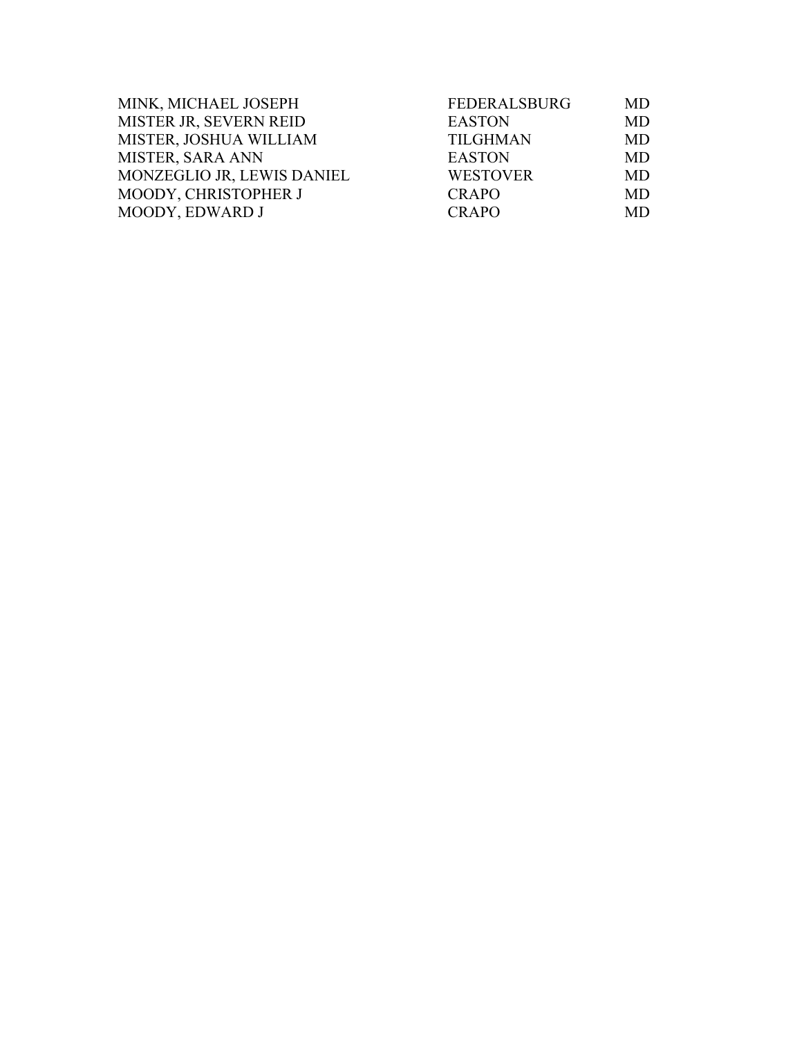| MINK, MICHAEL JOSEPH       | <b>FEDERALSBURG</b> | <b>MD</b> |
|----------------------------|---------------------|-----------|
| MISTER JR, SEVERN REID     | <b>EASTON</b>       | <b>MD</b> |
| MISTER, JOSHUA WILLIAM     | <b>TILGHMAN</b>     | <b>MD</b> |
| <b>MISTER, SARA ANN</b>    | <b>EASTON</b>       | <b>MD</b> |
| MONZEGLIO JR, LEWIS DANIEL | <b>WESTOVER</b>     | MD        |
| MOODY, CHRISTOPHER J       | <b>CRAPO</b>        | <b>MD</b> |
| MOODY, EDWARD J            | <b>CRAPO</b>        | <b>MD</b> |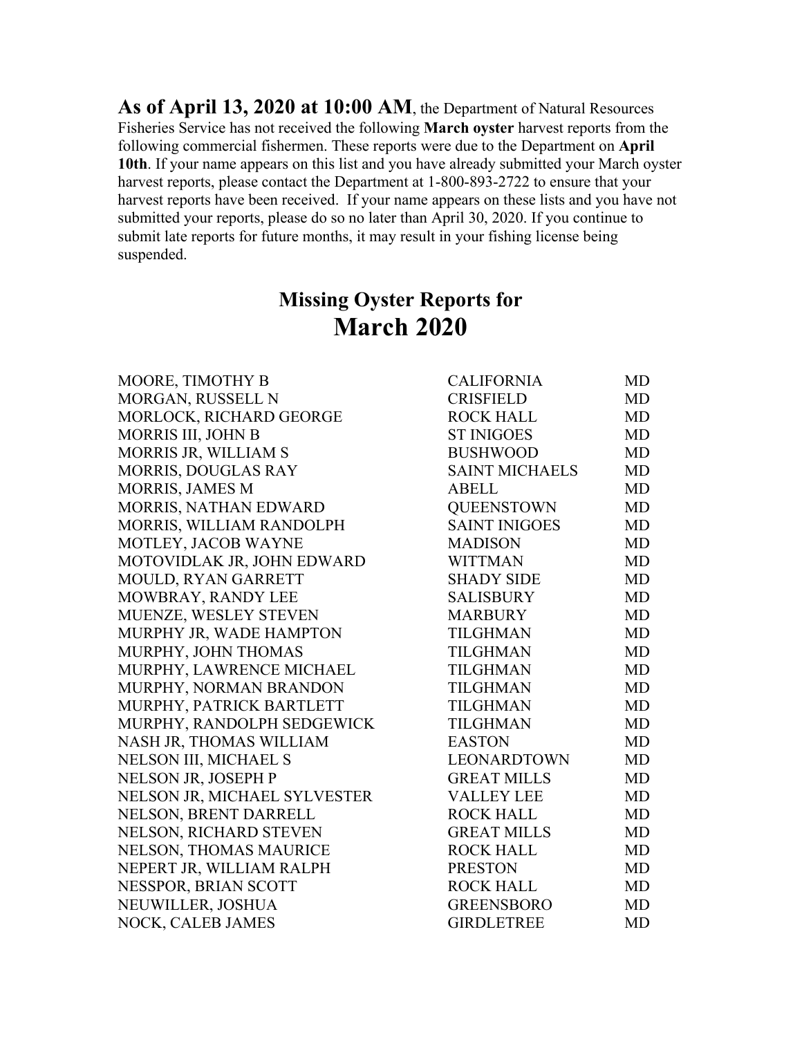**As of April 13, 2020 at 10:00 AM**, the Department of Natural Resources Fisheries Service has not received the following **March oyster** harvest reports from the following commercial fishermen. These reports were due to the Department on **April 10th**. If your name appears on this list and you have already submitted your March oyster harvest reports, please contact the Department at 1-800-893-2722 to ensure that your harvest reports have been received. If your name appears on these lists and you have not submitted your reports, please do so no later than April 30, 2020. If you continue to submit late reports for future months, it may result in your fishing license being suspended.

## **Missing Oyster Reports for March 2020**

| <b>CALIFORNIA</b>     | MD        |
|-----------------------|-----------|
| <b>CRISFIELD</b>      | <b>MD</b> |
| <b>ROCK HALL</b>      | <b>MD</b> |
| <b>ST INIGOES</b>     | <b>MD</b> |
| <b>BUSHWOOD</b>       | <b>MD</b> |
| <b>SAINT MICHAELS</b> | <b>MD</b> |
| <b>ABELL</b>          | <b>MD</b> |
| <b>QUEENSTOWN</b>     | <b>MD</b> |
| <b>SAINT INIGOES</b>  | <b>MD</b> |
| <b>MADISON</b>        | <b>MD</b> |
| <b>WITTMAN</b>        | <b>MD</b> |
| <b>SHADY SIDE</b>     | <b>MD</b> |
| <b>SALISBURY</b>      | <b>MD</b> |
| <b>MARBURY</b>        | <b>MD</b> |
| <b>TILGHMAN</b>       | <b>MD</b> |
| <b>TILGHMAN</b>       | <b>MD</b> |
| <b>TILGHMAN</b>       | <b>MD</b> |
| <b>TILGHMAN</b>       | MD        |
| <b>TILGHMAN</b>       | <b>MD</b> |
| <b>TILGHMAN</b>       | <b>MD</b> |
| <b>EASTON</b>         | <b>MD</b> |
| LEONARDTOWN           | <b>MD</b> |
| <b>GREAT MILLS</b>    | <b>MD</b> |
| <b>VALLEY LEE</b>     | <b>MD</b> |
| <b>ROCK HALL</b>      | <b>MD</b> |
| <b>GREAT MILLS</b>    | <b>MD</b> |
| <b>ROCK HALL</b>      | <b>MD</b> |
| <b>PRESTON</b>        | <b>MD</b> |
| <b>ROCK HALL</b>      | <b>MD</b> |
| <b>GREENSBORO</b>     | <b>MD</b> |
| <b>GIRDLETREE</b>     | <b>MD</b> |
|                       |           |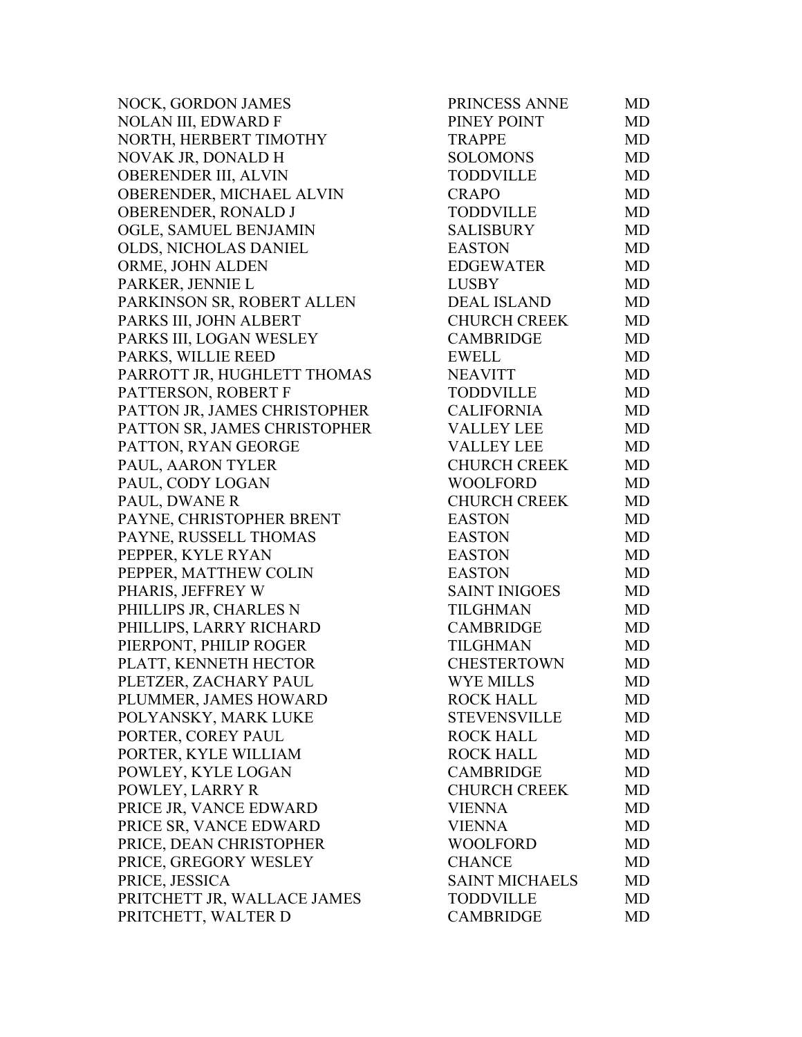NOCK, GORDON JAMES NOLAN III, EDWARD F NORTH, HERBERT TIMOTHY NOVAK JR, DONALD H OBERENDER III, ALVIN OBERENDER, MICHAEL ALVIN OBERENDER, RONALD J OGLE, SAMUEL BENJAMIN OLDS, NICHOLAS DANIEL ORME, JOHN ALDEN PARKER, JENNIE L PARKINSON SR, ROBERT ALLEN PARKS III, JOHN ALBERT PARKS III, LOGAN WESLEY PARKS, WILLIE REED PARROTT JR, HUGHLETT THOMAS PATTERSON, ROBERT F PATTON JR, JAMES CHRISTOPHER PATTON SR, JAMES CHRISTOPHER PATTON, RYAN GEORGE PAUL, AARON TYLER PAUL, CODY LOGAN PAUL, DWANE R PAYNE, CHRISTOPHER BRENT PAYNE, RUSSELL THOMAS PEPPER, KYLE RYAN PEPPER, MATTHEW COLIN PHARIS, JEFFREY W PHILLIPS JR, CHARLES N PHILLIPS, LARRY RICHARD PIERPONT, PHILIP ROGER PLATT, KENNETH HECTOR PLETZER, ZACHARY PAUL PLUMMER, JAMES HOWARD POLYANSKY, MARK LUKE PORTER, COREY PAUL PORTER, KYLE WILLIAM POWLEY, KYLE LOGAN POWLEY, LARRY R PRICE JR, VANCE EDWARD PRICE SR, VANCE EDWARD PRICE, DEAN CHRISTOPHER PRICE, GREGORY WESLEY PRICE, JESSICA PRITCHETT JR, WALLACE JAMES PRITCHETT, WALTER D

| PRINCESS ANNE         | MD        |
|-----------------------|-----------|
| PINEY POINT           | <b>MD</b> |
| <b>TRAPPE</b>         | MD        |
| <b>SOLOMONS</b>       | <b>MD</b> |
| <b>TODDVILLE</b>      | <b>MD</b> |
| <b>CRAPO</b>          | <b>MD</b> |
| <b>TODDVILLE</b>      | MD        |
| <b>SALISBURY</b>      | <b>MD</b> |
| <b>EASTON</b>         | <b>MD</b> |
| <b>EDGEWATER</b>      | <b>MD</b> |
| <b>LUSBY</b>          | <b>MD</b> |
| <b>DEAL ISLAND</b>    | <b>MD</b> |
| CHURCH CREEK          | MD        |
| <b>CAMBRIDGE</b>      | <b>MD</b> |
| <b>EWELL</b>          | <b>MD</b> |
| <b>NEAVITT</b>        | <b>MD</b> |
| <b>TODDVILLE</b>      | <b>MD</b> |
| <b>CALIFORNIA</b>     | <b>MD</b> |
| <b>VALLEY LEE</b>     | <b>MD</b> |
| <b>VALLEY LEE</b>     | <b>MD</b> |
| <b>CHURCH CREEK</b>   | <b>MD</b> |
| <b>WOOLFORD</b>       | <b>MD</b> |
| <b>CHURCH CREEK</b>   | MD        |
| <b>EASTON</b>         | <b>MD</b> |
| <b>EASTON</b>         | <b>MD</b> |
| <b>EASTON</b>         | <b>MD</b> |
| <b>EASTON</b>         | MD        |
| <b>SAINT INIGOES</b>  | <b>MD</b> |
| <b>TILGHMAN</b>       | <b>MD</b> |
| <b>CAMBRIDGE</b>      | MD        |
| <b>TILGHMAN</b>       | <b>MD</b> |
| <b>CHESTERTOWN</b>    | <b>MD</b> |
| <b>WYE MILLS</b>      | <b>MD</b> |
| <b>ROCK HALL</b>      | MD        |
| <b>STEVENSVILLE</b>   | MD        |
| <b>ROCK HALL</b>      | <b>MD</b> |
| <b>ROCK HALL</b>      | <b>MD</b> |
| <b>CAMBRIDGE</b>      | <b>MD</b> |
| <b>CHURCH CREEK</b>   | <b>MD</b> |
| <b>VIENNA</b>         | <b>MD</b> |
| <b>VIENNA</b>         | <b>MD</b> |
| <b>WOOLFORD</b>       | <b>MD</b> |
| <b>CHANCE</b>         | <b>MD</b> |
| <b>SAINT MICHAELS</b> | <b>MD</b> |
| TODDVILLE             | <b>MD</b> |
| <b>CAMBRIDGE</b>      | MD        |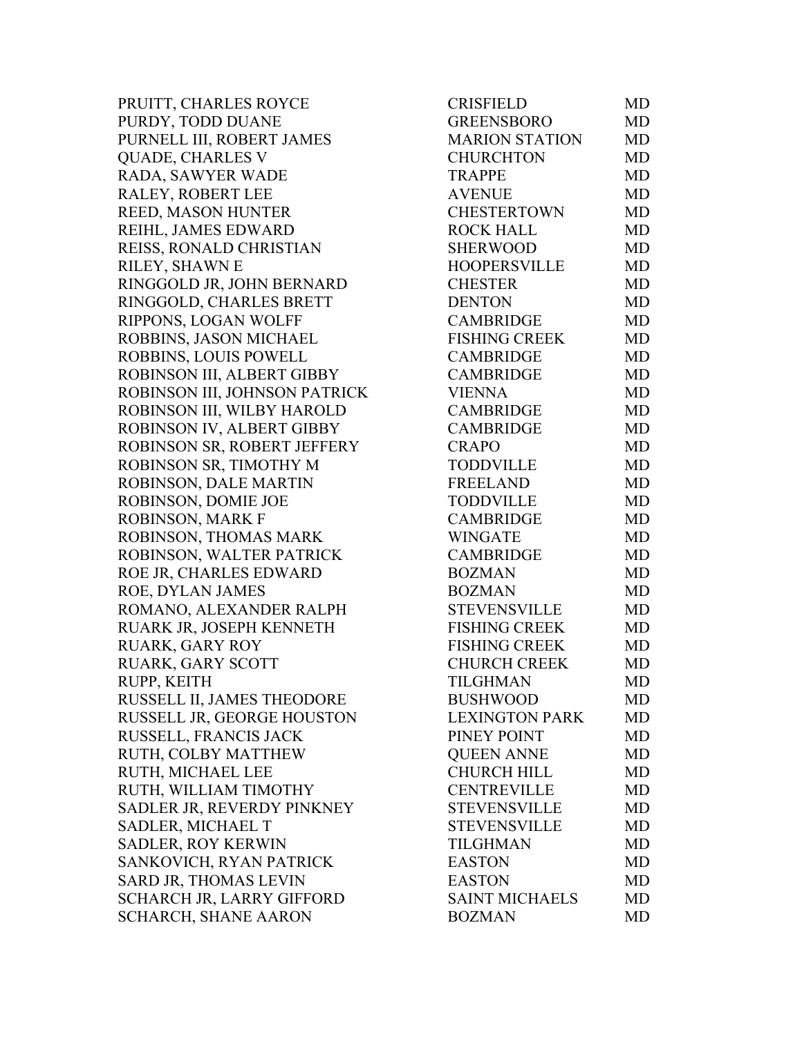PRUITT, CHARLES ROYCE PURDY, TODD DUANE PURNELL III, ROBERT JAMES QUADE, CHARLES V RADA, SAWYER WADE RALEY, ROBERT LEE REED, MASON HUNTER REIHL, JAMES EDWARD REISS, RONALD CHRISTIAN RILEY, SHAWN E RINGGOLD JR, JOHN BERNARD RINGGOLD, CHARLES BRETT RIPPONS, LOGAN WOLFF ROBBINS, JASON MICHAEL ROBBINS, LOUIS POWELL ROBINSON III, ALBERT GIBBY ROBINSON III, JOHNSON PATRICK ROBINSON III, WILBY HAROLD ROBINSON IV, ALBERT GIBBY ROBINSON SR, ROBERT JEFFERY ROBINSON SR, TIMOTHY M ROBINSON, DALE MARTIN ROBINSON, DOMIE JOE ROBINSON, MARK F ROBINSON, THOMAS MARK ROBINSON, WALTER PATRICK ROE JR, CHARLES EDWARD ROE, DYLAN JAMES ROMANO, ALEXANDER RALPH RUARK JR, JOSEPH KENNETH RUARK, GARY ROY RUARK, GARY SCOTT RUPP, KEITH RUSSELL II, JAMES THEODORE RUSSELL JR, GEORGE HOUSTON RUSSELL, FRANCIS JACK RUTH, COLBY MATTHEW RUTH, MICHAEL LEE RUTH, WILLIAM TIMOTHY SADLER JR, REVERDY PINKNEY SADLER, MICHAEL T SADLER, ROY KERWIN SANKOVICH, RYAN PATRICK SARD JR, THOMAS LEVIN SCHARCH JR, LARRY GIFFORD SCHARCH, SHANE AARON

| <b>CRISFIELD</b>      | MD        |
|-----------------------|-----------|
| <b>GREENSBORO</b>     | <b>MD</b> |
| <b>MARION STATION</b> | <b>MD</b> |
| <b>CHURCHTON</b>      | <b>MD</b> |
| <b>TRAPPE</b>         | <b>MD</b> |
| <b>AVENUE</b>         | <b>MD</b> |
| <b>CHESTERTOWN</b>    | <b>MD</b> |
| <b>ROCK HALL</b>      | <b>MD</b> |
| <b>SHERWOOD</b>       | <b>MD</b> |
| <b>HOOPERSVILLE</b>   | <b>MD</b> |
| <b>CHESTER</b>        | <b>MD</b> |
| <b>DENTON</b>         | <b>MD</b> |
| <b>CAMBRIDGE</b>      | <b>MD</b> |
| <b>FISHING CREEK</b>  | <b>MD</b> |
| <b>CAMBRIDGE</b>      | <b>MD</b> |
| <b>CAMBRIDGE</b>      | <b>MD</b> |
| <b>VIENNA</b>         | <b>MD</b> |
| <b>CAMBRIDGE</b>      | <b>MD</b> |
| <b>CAMBRIDGE</b>      | <b>MD</b> |
| <b>CRAPO</b>          | <b>MD</b> |
| <b>TODDVILLE</b>      | <b>MD</b> |
| <b>FREELAND</b>       | <b>MD</b> |
| <b>TODDVILLE</b>      | <b>MD</b> |
| <b>CAMBRIDGE</b>      | <b>MD</b> |
| <b>WINGATE</b>        | <b>MD</b> |
| <b>CAMBRIDGE</b>      | <b>MD</b> |
| <b>BOZMAN</b>         | <b>MD</b> |
| <b>BOZMAN</b>         | <b>MD</b> |
| <b>STEVENSVILLE</b>   | <b>MD</b> |
| <b>FISHING CREEK</b>  | <b>MD</b> |
| <b>FISHING CREEK</b>  | <b>MD</b> |
| <b>CHURCH CREEK</b>   | <b>MD</b> |
| <b>TILGHMAN</b>       | MD        |
| <b>BUSHWOOD</b>       | MD        |
| <b>LEXINGTON PARK</b> | MD        |
| PINEY POINT           | MD        |
| <b>QUEEN ANNE</b>     | MD        |
| <b>CHURCH HILL</b>    | MD        |
| <b>CENTREVILLE</b>    | MD        |
| <b>STEVENSVILLE</b>   | MD        |
| <b>STEVENSVILLE</b>   | <b>MD</b> |
| TILGHMAN              | MD        |
| <b>EASTON</b>         | MD        |
| <b>EASTON</b>         | MD        |
| <b>SAINT MICHAELS</b> | MD        |
| <b>BOZMAN</b>         | MD        |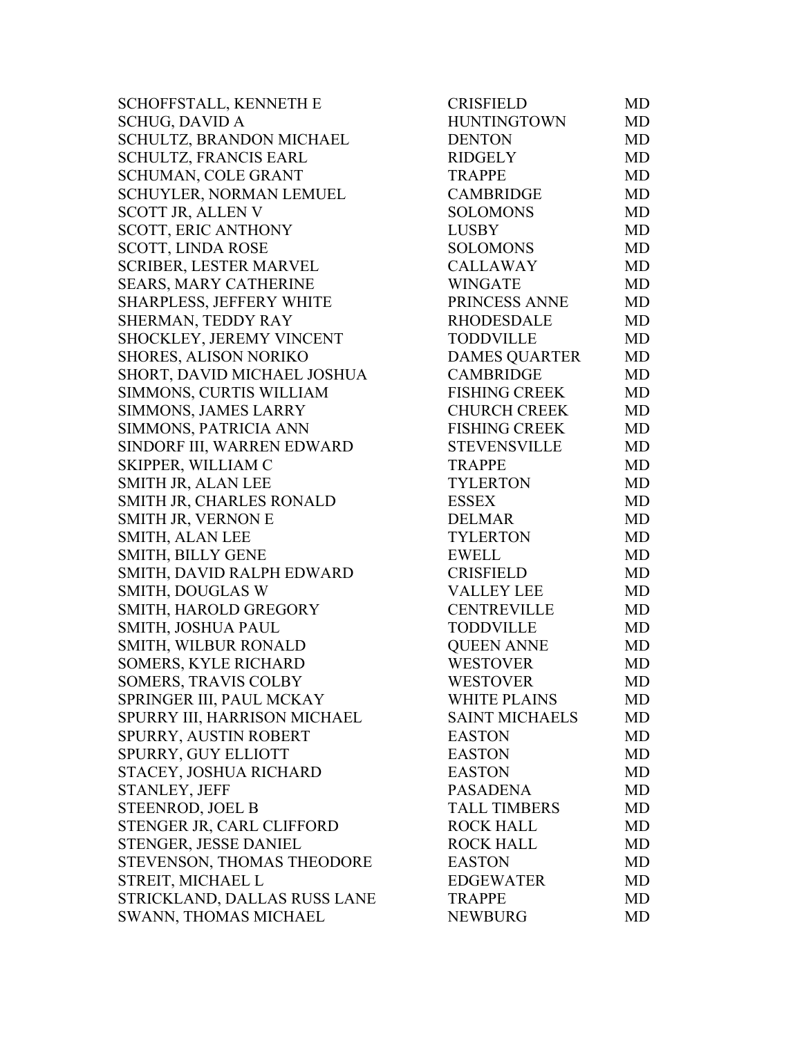SCHOFFSTALL, KENNETH E SCHUG, DAVID A SCHULTZ, BRANDON MICHAEL SCHULTZ, FRANCIS EARL SCHUMAN, COLE GRANT SCHUYLER, NORMAN LEMUEL SCOTT JR, ALLEN V SCOTT, ERIC ANTHONY SCOTT, LINDA ROSE SCRIBER, LESTER MARVEL SEARS, MARY CATHERINE SHARPLESS, JEFFERY WHITE SHERMAN, TEDDY RAY SHOCKLEY, JEREMY VINCENT SHORES, ALISON NORIKO SHORT, DAVID MICHAEL JOSHUA SIMMONS, CURTIS WILLIAM SIMMONS, JAMES LARRY SIMMONS, PATRICIA ANN SINDORF III, WARREN EDWARD SKIPPER, WILLIAM C SMITH JR, ALAN LEE SMITH JR, CHARLES RONALD SMITH JR, VERNON E SMITH, ALAN LEE SMITH, BILLY GENE SMITH, DAVID RALPH EDWARD SMITH, DOUGLAS W SMITH, HAROLD GREGORY SMITH, JOSHUA PAUL SMITH, WILBUR RONALD SOMERS, KYLE RICHARD SOMERS, TRAVIS COLBY SPRINGER III, PAUL MCKAY SPURRY III, HARRISON MICHAEL SPURRY, AUSTIN ROBERT SPURRY, GUY ELLIOTT STACEY, JOSHUA RICHARD STANLEY, JEFF STEENROD, JOEL B STENGER JR, CARL CLIFFORD STENGER, JESSE DANIEL STEVENSON, THOMAS THEODORE STREIT, MICHAEL L STRICKLAND, DALLAS RUSS LANE SWANN, THOMAS MICHAEL

| CRISFIELD             | MD        |
|-----------------------|-----------|
| <b>HUNTINGTOWN</b>    | MD        |
| <b>DENTON</b>         | MD        |
| <b>RIDGELY</b>        | MD        |
| <b>TRAPPE</b>         | <b>MD</b> |
| <b>CAMBRIDGE</b>      | <b>MD</b> |
| <b>SOLOMONS</b>       | MD        |
| <b>LUSBY</b>          | MD        |
| <b>SOLOMONS</b>       | <b>MD</b> |
| <b>CALLAWAY</b>       | <b>MD</b> |
| <b>WINGATE</b>        | <b>MD</b> |
| PRINCESS ANNE         | <b>MD</b> |
| <b>RHODESDALE</b>     | <b>MD</b> |
| <b>TODDVILLE</b>      | MD        |
| <b>DAMES QUARTER</b>  | <b>MD</b> |
| <b>CAMBRIDGE</b>      | <b>MD</b> |
| <b>FISHING CREEK</b>  | MD        |
| <b>CHURCH CREEK</b>   | <b>MD</b> |
| <b>FISHING CREEK</b>  | <b>MD</b> |
| <b>STEVENSVILLE</b>   | MD        |
| <b>TRAPPE</b>         | <b>MD</b> |
| <b>TYLERTON</b>       | MD        |
| <b>ESSEX</b>          | <b>MD</b> |
| <b>DELMAR</b>         | MD        |
| <b>TYLERTON</b>       | <b>MD</b> |
| <b>EWELL</b>          | <b>MD</b> |
| <b>CRISFIELD</b>      | MD        |
| <b>VALLEY LEE</b>     | <b>MD</b> |
| <b>CENTREVILLE</b>    | <b>MD</b> |
| <b>TODDVILLE</b>      | <b>MD</b> |
| <b>QUEEN ANNE</b>     | MD        |
| <b>WESTOVER</b>       | <b>MD</b> |
| <b>WESTOVER</b>       | <b>MD</b> |
| <b>WHITE PLAINS</b>   | <b>MD</b> |
| <b>SAINT MICHAELS</b> | MD        |
| <b>EASTON</b>         | <b>MD</b> |
| <b>EASTON</b>         | MD        |
| <b>EASTON</b>         | <b>MD</b> |
| <b>PASADENA</b>       | <b>MD</b> |
| <b>TALL TIMBERS</b>   | <b>MD</b> |
| <b>ROCK HALL</b>      | <b>MD</b> |
| <b>ROCK HALL</b>      | MD        |
| <b>EASTON</b>         | <b>MD</b> |
| <b>EDGEWATER</b>      | MD        |
| <b>TRAPPE</b>         | <b>MD</b> |
| <b>NEWBURG</b>        | <b>MD</b> |
|                       |           |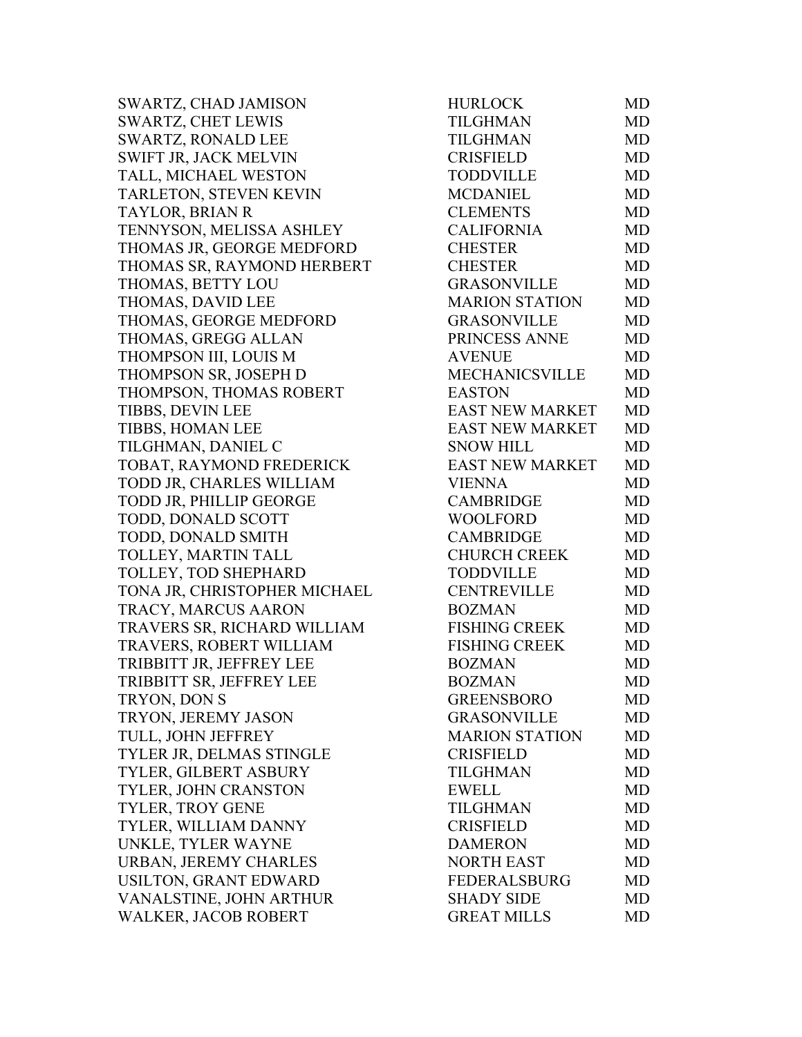SWARTZ, CHAD JAMISON HURLOCK MD SWARTZ, CHET LEWIS TILGHMAN MD SWARTZ, RONALD LEE TILGHMAN MD SWIFT JR, JACK MELVIN CRISFIELD MD TALL, MICHAEL WESTON TODDVILLE MD TARLETON, STEVEN KEVIN MCDANIEL MD TAYLOR, BRIAN R CLEMENTS MD TENNYSON, MELISSA ASHLEY CALIFORNIA MD THOMAS JR, GEORGE MEDFORD CHESTER MD THOMAS SR, RAYMOND HERBERT CHESTER MD THOMAS, BETTY LOU GRASONVILLE MD THOMAS, DAVID LEE MARION STATION MD THOMAS, GEORGE MEDFORD GRASONVILLE MD THOMAS, GREGG ALLAN PRINCESS ANNE MD THOMPSON III, LOUIS M AVENUE MD THOMPSON SR, JOSEPH D MECHANICSVILLE MD THOMPSON, THOMAS ROBERT EASTON MD TIBBS, DEVIN LEE EAST NEW MARKET MD TIBBS, HOMAN LEE EAST NEW MARKET MD TILGHMAN, DANIEL C<br>SNOW HILL MD TOBAT, RAYMOND FREDERICK EAST NEW MARKET MD TODD JR, CHARLES WILLIAM VIENNA MD TODD JR, PHILLIP GEORGE CAMBRIDGE MD TODD, DONALD SCOTT WOOLFORD MD TODD, DONALD SMITH CAMBRIDGE MD TOLLEY, MARTIN TALL CHURCH CREEK MD TOLLEY, TOD SHEPHARD TODDVILLE MD TONA JR, CHRISTOPHER MICHAEL CENTREVILLE MD TRACY, MARCUS AARON BOZMAN MD TRAVERS SR, RICHARD WILLIAM FISHING CREEK MD TRAVERS, ROBERT WILLIAM FISHING CREEK MD TRIBBITT JR, JEFFREY LEE BOZMAN MD TRIBBITT SR, JEFFREY LEE BOZMAN MD TRYON, DON S GREENSBORO MD TRYON, JEREMY JASON GRASONVILLE MD TULL, JOHN JEFFREY MARION STATION MD TYLER JR, DELMAS STINGLE CRISFIELD MD TYLER, GILBERT ASBURY TILGHMAN MD TYLER, JOHN CRANSTON EWELL MD TYLER, TROY GENE TILGHMAN MD TYLER, WILLIAM DANNY CRISFIELD MD UNKLE, TYLER WAYNE DAMERON MD URBAN, JEREMY CHARLES NORTH EAST MD USILTON, GRANT EDWARD FEDERALSBURG MD VANALSTINE, JOHN ARTHUR SHADY SIDE MD WALKER, JACOB ROBERT GREAT MILLS MD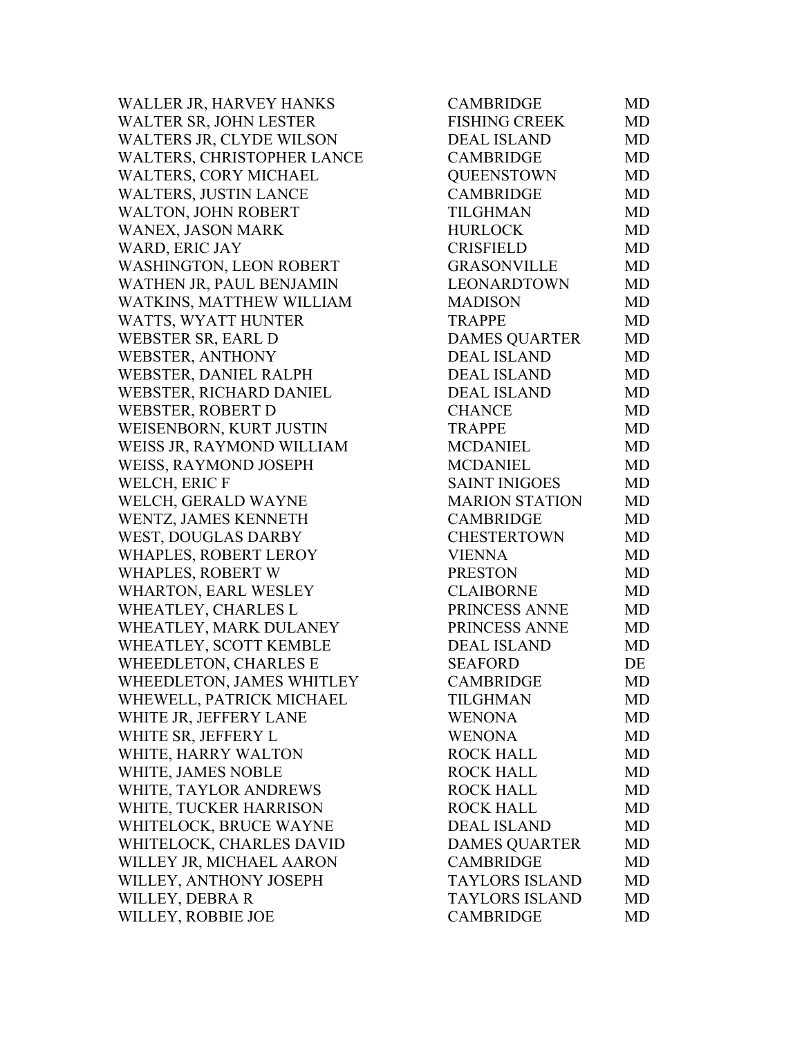WALLER JR, HARVEY HANKS WALTER SR, JOHN LESTER WALTERS JR, CLYDE WILSON WALTERS, CHRISTOPHER LANCE WALTERS, CORY MICHAEL WALTERS, JUSTIN LANCE WALTON, JOHN ROBERT WANEX, JASON MARK WARD, ERIC JAY WASHINGTON, LEON ROBERT WATHEN JR, PAUL BENJAMIN WATKINS, MATTHEW WILLIAM WATTS, WYATT HUNTER WEBSTER SR, EARL D WEBSTER, ANTHONY WEBSTER, DANIEL RALPH WEBSTER, RICHARD DANIEL WEBSTER, ROBERT D WEISENBORN, KURT JUSTIN WEISS JR, RAYMOND WILLIAM WEISS, RAYMOND JOSEPH WELCH, ERIC F WELCH, GERALD WAYNE WENTZ, JAMES KENNETH WEST, DOUGLAS DARBY WHAPLES, ROBERT LEROY WHAPLES, ROBERT W WHARTON, EARL WESLEY WHEATLEY, CHARLES L WHEATLEY, MARK DULANEY WHEATLEY, SCOTT KEMBLE WHEEDLETON, CHARLES E WHEEDLETON, JAMES WHITLEY WHEWELL, PATRICK MICHAEL WHITE JR, JEFFERY LANE WHITE SR, JEFFERY L WHITE, HARRY WALTON WHITE, JAMES NOBLE WHITE, TAYLOR ANDREWS WHITE, TUCKER HARRISON WHITELOCK, BRUCE WAYNE WHITELOCK, CHARLES DAVID WILLEY JR, MICHAEL AARON WILLEY, ANTHONY JOSEPH WILLEY, DEBRA R WILLEY, ROBBIE JOE

| <b>CAMBRIDGE</b>      | MD        |
|-----------------------|-----------|
| <b>FISHING CREEK</b>  | <b>MD</b> |
| <b>DEAL ISLAND</b>    | MD        |
| <b>CAMBRIDGE</b>      | <b>MD</b> |
| <b>QUEENSTOWN</b>     | <b>MD</b> |
| <b>CAMBRIDGE</b>      | MD        |
| <b>TILGHMAN</b>       | <b>MD</b> |
| <b>HURLOCK</b>        | MD        |
| <b>CRISFIELD</b>      | <b>MD</b> |
| <b>GRASONVILLE</b>    | MD        |
| LEONARDTOWN           | <b>MD</b> |
| <b>MADISON</b>        | <b>MD</b> |
| <b>TRAPPE</b>         | MD        |
| <b>DAMES QUARTER</b>  | <b>MD</b> |
| <b>DEAL ISLAND</b>    | <b>MD</b> |
| <b>DEAL ISLAND</b>    | <b>MD</b> |
| <b>DEAL ISLAND</b>    | <b>MD</b> |
| <b>CHANCE</b>         | <b>MD</b> |
| <b>TRAPPE</b>         | <b>MD</b> |
| <b>MCDANIEL</b>       | <b>MD</b> |
| <b>MCDANIEL</b>       | <b>MD</b> |
| <b>SAINT INIGOES</b>  | MD        |
| <b>MARION STATION</b> | MD        |
| <b>CAMBRIDGE</b>      | <b>MD</b> |
| <b>CHESTERTOWN</b>    | <b>MD</b> |
| <b>VIENNA</b>         | MD        |
| <b>PRESTON</b>        | <b>MD</b> |
| <b>CLAIBORNE</b>      | MD        |
| PRINCESS ANNE         | <b>MD</b> |
| PRINCESS ANNE         | <b>MD</b> |
| <b>DEAL ISLAND</b>    | <b>MD</b> |
| <b>SEAFORD</b>        | DE        |
| <b>CAMBRIDGE</b>      | MD        |
| TILGHMAN              | MD        |
| <b>WENONA</b>         | MD        |
| <b>WENONA</b>         | MD        |
| <b>ROCK HALL</b>      | <b>MD</b> |
| <b>ROCK HALL</b>      | MD        |
| <b>ROCK HALL</b>      | MD        |
| <b>ROCK HALL</b>      | MD        |
| <b>DEAL ISLAND</b>    | MD        |
| <b>DAMES OUARTER</b>  | MD        |
| <b>CAMBRIDGE</b>      | MD        |
| <b>TAYLORS ISLAND</b> | MD        |
| <b>TAYLORS ISLAND</b> | MD        |
| <b>CAMBRIDGE</b>      | MD        |
|                       |           |